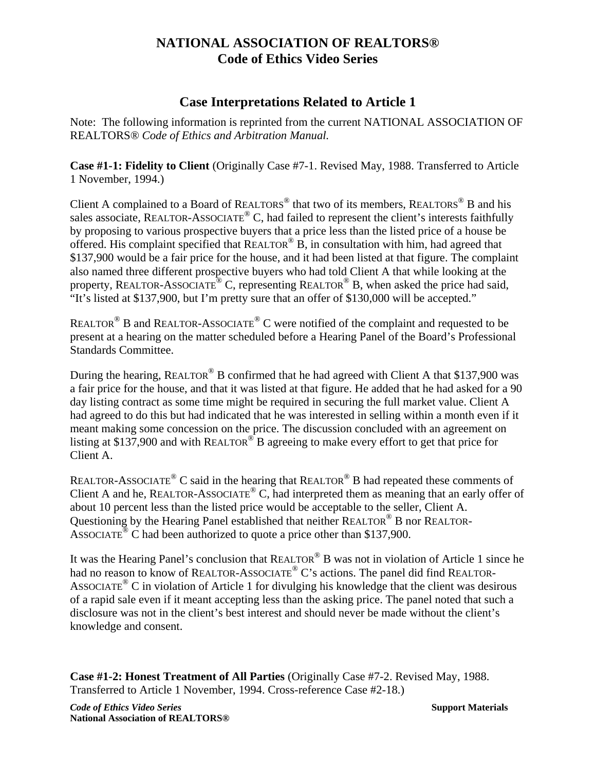# **NATIONAL ASSOCIATION OF REALTORS® Code of Ethics Video Series**

## **Case Interpretations Related to Article 1**

Note: The following information is reprinted from the current NATIONAL ASSOCIATION OF REALTORS® *Code of Ethics and Arbitration Manual.*

**Case #1-1: Fidelity to Client** (Originally Case #7-1. Revised May, 1988. Transferred to Article 1 November, 1994.)

Client A complained to a Board of REALTORS<sup>®</sup> that two of its members, REALTORS<sup>®</sup> B and his sales associate, REALTOR-ASSOCIATE<sup>®</sup> C, had failed to represent the client's interests faithfully by proposing to various prospective buyers that a price less than the listed price of a house be offered. His complaint specified that  $REALTOR^{\circledR}$  B, in consultation with him, had agreed that \$137,900 would be a fair price for the house, and it had been listed at that figure. The complaint also named three different prospective buyers who had told Client A that while looking at the property, REALTOR-ASSOCIATE<sup>®</sup> C, representing REALTOR<sup>®</sup> B, when asked the price had said, "It's listed at \$137,900, but I'm pretty sure that an offer of \$130,000 will be accepted."

REALTOR® B and REALTOR-ASSOCIATE® C were notified of the complaint and requested to be present at a hearing on the matter scheduled before a Hearing Panel of the Board's Professional Standards Committee.

During the hearing, REALTOR® B confirmed that he had agreed with Client A that \$137,900 was a fair price for the house, and that it was listed at that figure. He added that he had asked for a 90 day listing contract as some time might be required in securing the full market value. Client A had agreed to do this but had indicated that he was interested in selling within a month even if it meant making some concession on the price. The discussion concluded with an agreement on listing at \$137,900 and with REALTOR<sup>®</sup> B agreeing to make every effort to get that price for Client A.

REALTOR-ASSOCIATE<sup>®</sup> C said in the hearing that REALTOR<sup>®</sup> B had repeated these comments of Client A and he, REALTOR-ASSOCIATE® C, had interpreted them as meaning that an early offer of about 10 percent less than the listed price would be acceptable to the seller, Client A. Questioning by the Hearing Panel established that neither REALTOR® B nor REALTOR-ASSOCIATE<sup>®</sup> C had been authorized to quote a price other than \$137,900.

It was the Hearing Panel's conclusion that REALTOR® B was not in violation of Article 1 since he had no reason to know of REALTOR-ASSOCIATE<sup>®</sup> C's actions. The panel did find REALTOR-ASSOCIATE<sup>®</sup> C in violation of Article 1 for divulging his knowledge that the client was desirous of a rapid sale even if it meant accepting less than the asking price. The panel noted that such a disclosure was not in the client's best interest and should never be made without the client's knowledge and consent.

**Case #1-2: Honest Treatment of All Parties** (Originally Case #7-2. Revised May, 1988. Transferred to Article 1 November, 1994. Cross-reference Case #2-18.)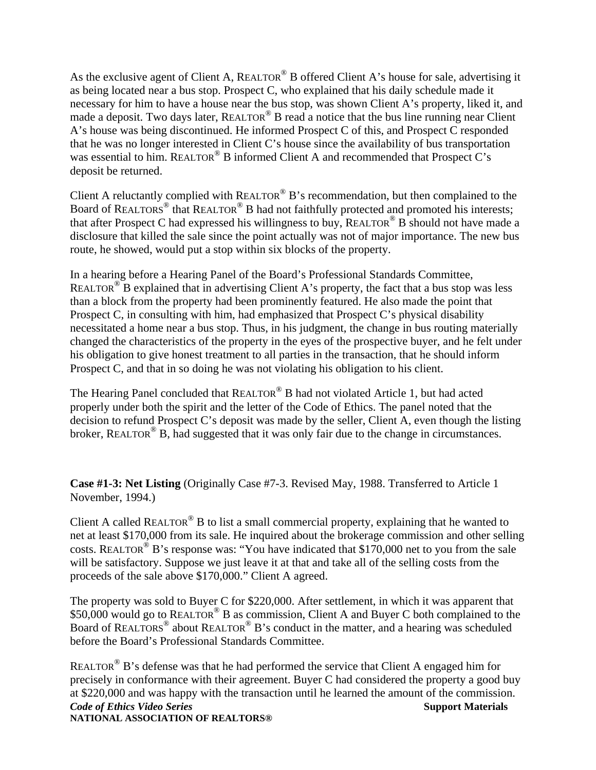As the exclusive agent of Client A, REALTOR® B offered Client A's house for sale, advertising it as being located near a bus stop. Prospect C, who explained that his daily schedule made it necessary for him to have a house near the bus stop, was shown Client A's property, liked it, and made a deposit. Two days later,  $REALTOR^{\circledcirc}$  B read a notice that the bus line running near Client A's house was being discontinued. He informed Prospect C of this, and Prospect C responded that he was no longer interested in Client C's house since the availability of bus transportation was essential to him. REALTOR<sup>®</sup> B informed Client A and recommended that Prospect C's deposit be returned.

Client A reluctantly complied with REALTOR® B's recommendation, but then complained to the Board of REALTOR<sup>®</sup> that REALTOR<sup>®</sup> B had not faithfully protected and promoted his interests; that after Prospect C had expressed his willingness to buy,  $REALTOR^{\circledcirc}$  B should not have made a disclosure that killed the sale since the point actually was not of major importance. The new bus route, he showed, would put a stop within six blocks of the property.

In a hearing before a Hearing Panel of the Board's Professional Standards Committee, REALTOR<sup>®</sup> B explained that in advertising Client A's property, the fact that a bus stop was less than a block from the property had been prominently featured. He also made the point that Prospect C, in consulting with him, had emphasized that Prospect C's physical disability necessitated a home near a bus stop. Thus, in his judgment, the change in bus routing materially changed the characteristics of the property in the eyes of the prospective buyer, and he felt under his obligation to give honest treatment to all parties in the transaction, that he should inform Prospect C, and that in so doing he was not violating his obligation to his client.

The Hearing Panel concluded that REALTOR® B had not violated Article 1, but had acted properly under both the spirit and the letter of the Code of Ethics. The panel noted that the decision to refund Prospect C's deposit was made by the seller, Client A, even though the listing broker, REALTOR<sup>®</sup> B, had suggested that it was only fair due to the change in circumstances.

**Case #1-3: Net Listing** (Originally Case #7-3. Revised May, 1988. Transferred to Article 1 November, 1994.)

Client A called REALTOR<sup>®</sup> B to list a small commercial property, explaining that he wanted to net at least \$170,000 from its sale. He inquired about the brokerage commission and other selling costs. REALTOR<sup>®</sup> B's response was: "You have indicated that \$170,000 net to you from the sale will be satisfactory. Suppose we just leave it at that and take all of the selling costs from the proceeds of the sale above \$170,000." Client A agreed.

The property was sold to Buyer C for \$220,000. After settlement, in which it was apparent that \$50,000 would go to REALTOR<sup>®</sup> B as commission, Client A and Buyer C both complained to the Board of REALTORS® about REALTOR® B's conduct in the matter, and a hearing was scheduled before the Board's Professional Standards Committee.

**Code of Ethics Video Series** Support Materials **Support Materials NATIONAL ASSOCIATION OF REALTORS®**  REALTOR<sup>®</sup> B's defense was that he had performed the service that Client A engaged him for precisely in conformance with their agreement. Buyer C had considered the property a good buy at \$220,000 and was happy with the transaction until he learned the amount of the commission.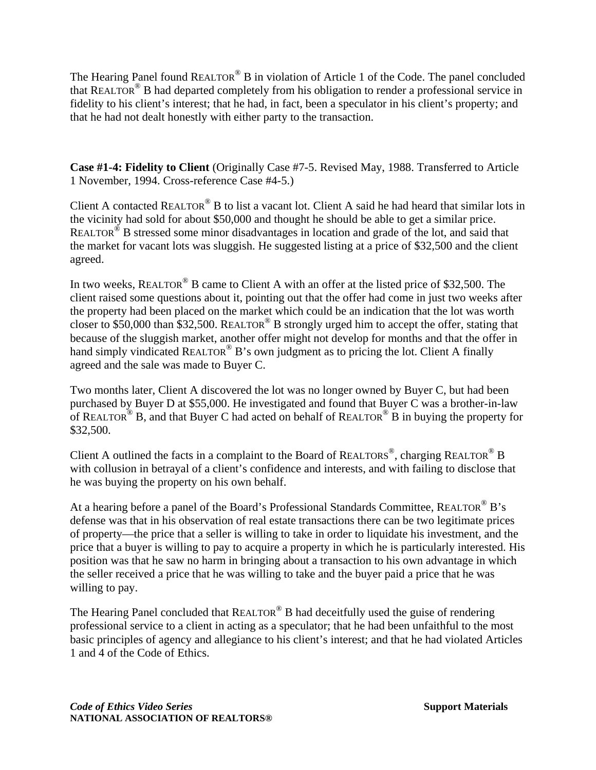The Hearing Panel found REALTOR<sup>®</sup> B in violation of Article 1 of the Code. The panel concluded that REALTOR® B had departed completely from his obligation to render a professional service in fidelity to his client's interest; that he had, in fact, been a speculator in his client's property; and that he had not dealt honestly with either party to the transaction.

**Case #1-4: Fidelity to Client** (Originally Case #7-5. Revised May, 1988. Transferred to Article 1 November, 1994. Cross-reference Case #4-5.)

Client A contacted REALTOR<sup>®</sup> B to list a vacant lot. Client A said he had heard that similar lots in the vicinity had sold for about \$50,000 and thought he should be able to get a similar price. REALTOR® B stressed some minor disadvantages in location and grade of the lot, and said that the market for vacant lots was sluggish. He suggested listing at a price of \$32,500 and the client agreed.

In two weeks, REALTOR<sup>®</sup> B came to Client A with an offer at the listed price of \$32,500. The client raised some questions about it, pointing out that the offer had come in just two weeks after the property had been placed on the market which could be an indication that the lot was worth closer to \$50,000 than \$32,500. REALTOR<sup>®</sup> B strongly urged him to accept the offer, stating that because of the sluggish market, another offer might not develop for months and that the offer in hand simply vindicated REALTOR<sup>®</sup> B's own judgment as to pricing the lot. Client A finally agreed and the sale was made to Buyer C.

Two months later, Client A discovered the lot was no longer owned by Buyer C, but had been purchased by Buyer D at \$55,000. He investigated and found that Buyer C was a brother-in-law of REALTOR<sup>®</sup> B, and that Buyer C had acted on behalf of REALTOR<sup>®</sup> B in buying the property for \$32,500.

Client A outlined the facts in a complaint to the Board of REALTORS<sup>®</sup>, charging REALTOR<sup>®</sup> B with collusion in betrayal of a client's confidence and interests, and with failing to disclose that he was buying the property on his own behalf.

At a hearing before a panel of the Board's Professional Standards Committee, REALTOR<sup>®</sup> B's defense was that in his observation of real estate transactions there can be two legitimate prices of property—the price that a seller is willing to take in order to liquidate his investment, and the price that a buyer is willing to pay to acquire a property in which he is particularly interested. His position was that he saw no harm in bringing about a transaction to his own advantage in which the seller received a price that he was willing to take and the buyer paid a price that he was willing to pay.

The Hearing Panel concluded that REALTOR<sup>®</sup> B had deceitfully used the guise of rendering professional service to a client in acting as a speculator; that he had been unfaithful to the most basic principles of agency and allegiance to his client's interest; and that he had violated Articles 1 and 4 of the Code of Ethics.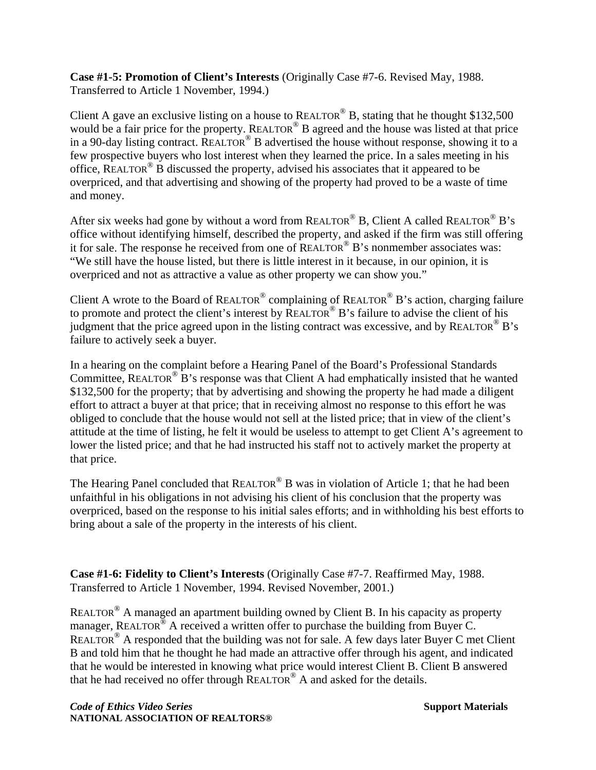**Case #1-5: Promotion of Client's Interests** (Originally Case #7-6. Revised May, 1988. Transferred to Article 1 November, 1994.)

Client A gave an exclusive listing on a house to REALTOR<sup>®</sup> B, stating that he thought \$132,500 would be a fair price for the property. REALTOR<sup>®</sup> B agreed and the house was listed at that price in a 90-day listing contract. REALTOR<sup>®</sup> B advertised the house without response, showing it to a few prospective buyers who lost interest when they learned the price. In a sales meeting in his office, REALTOR® B discussed the property, advised his associates that it appeared to be overpriced, and that advertising and showing of the property had proved to be a waste of time and money.

After six weeks had gone by without a word from REALTOR<sup>®</sup> B, Client A called REALTOR<sup>®</sup> B's office without identifying himself, described the property, and asked if the firm was still offering it for sale. The response he received from one of REALTOR<sup>®</sup> B's nonmember associates was: "We still have the house listed, but there is little interest in it because, in our opinion, it is overpriced and not as attractive a value as other property we can show you."

Client A wrote to the Board of REALTOR<sup>®</sup> complaining of REALTOR<sup>®</sup> B's action, charging failure to promote and protect the client's interest by REALTOR<sup>®</sup> B's failure to advise the client of his judgment that the price agreed upon in the listing contract was excessive, and by REALTOR<sup>®</sup> B's failure to actively seek a buyer.

In a hearing on the complaint before a Hearing Panel of the Board's Professional Standards Committee, REALTOR<sup>®</sup> B's response was that Client A had emphatically insisted that he wanted \$132,500 for the property; that by advertising and showing the property he had made a diligent effort to attract a buyer at that price; that in receiving almost no response to this effort he was obliged to conclude that the house would not sell at the listed price; that in view of the client's attitude at the time of listing, he felt it would be useless to attempt to get Client A's agreement to lower the listed price; and that he had instructed his staff not to actively market the property at that price.

The Hearing Panel concluded that  $REALTOR^@B$  was in violation of Article 1; that he had been unfaithful in his obligations in not advising his client of his conclusion that the property was overpriced, based on the response to his initial sales efforts; and in withholding his best efforts to bring about a sale of the property in the interests of his client.

**Case #1-6: Fidelity to Client's Interests** (Originally Case #7-7. Reaffirmed May, 1988. Transferred to Article 1 November, 1994. Revised November, 2001.)

REALTOR<sup>®</sup> A managed an apartment building owned by Client B. In his capacity as property manager, REALTOR<sup>®</sup> A received a written offer to purchase the building from Buyer C. REALTOR<sup>®</sup> A responded that the building was not for sale. A few days later Buyer C met Client B and told him that he thought he had made an attractive offer through his agent, and indicated that he would be interested in knowing what price would interest Client B. Client B answered that he had received no offer through REALTOR® A and asked for the details.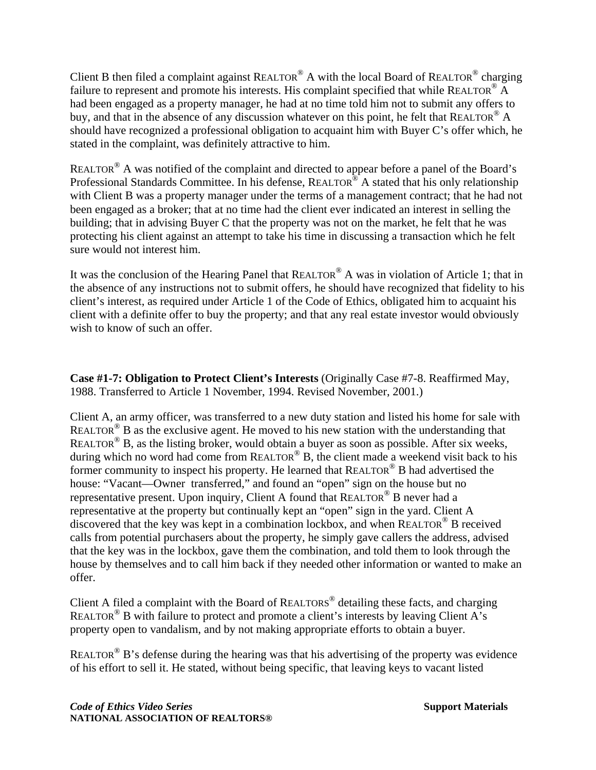Client B then filed a complaint against REALTOR® A with the local Board of REALTOR® charging failure to represent and promote his interests. His complaint specified that while REALTOR<sup>®</sup> A had been engaged as a property manager, he had at no time told him not to submit any offers to buy, and that in the absence of any discussion whatever on this point, he felt that REALTOR<sup>®</sup> A should have recognized a professional obligation to acquaint him with Buyer C's offer which, he stated in the complaint, was definitely attractive to him.

REALTOR<sup>®</sup> A was notified of the complaint and directed to appear before a panel of the Board's Professional Standards Committee. In his defense, REALTOR<sup>®</sup> A stated that his only relationship with Client B was a property manager under the terms of a management contract; that he had not been engaged as a broker; that at no time had the client ever indicated an interest in selling the building; that in advising Buyer C that the property was not on the market, he felt that he was protecting his client against an attempt to take his time in discussing a transaction which he felt sure would not interest him.

It was the conclusion of the Hearing Panel that REALTOR® A was in violation of Article 1; that in the absence of any instructions not to submit offers, he should have recognized that fidelity to his client's interest, as required under Article 1 of the Code of Ethics, obligated him to acquaint his client with a definite offer to buy the property; and that any real estate investor would obviously wish to know of such an offer.

**Case #1-7: Obligation to Protect Client's Interests** (Originally Case #7-8. Reaffirmed May, 1988. Transferred to Article 1 November, 1994. Revised November, 2001.)

Client A, an army officer, was transferred to a new duty station and listed his home for sale with REALTOR<sup>®</sup> B as the exclusive agent. He moved to his new station with the understanding that REALTOR<sup>®</sup> B, as the listing broker, would obtain a buyer as soon as possible. After six weeks, during which no word had come from  $REALTOR^@B$ , the client made a weekend visit back to his former community to inspect his property. He learned that REALTOR® B had advertised the house: "Vacant—Owner transferred," and found an "open" sign on the house but no representative present. Upon inquiry, Client A found that REALTOR® B never had a representative at the property but continually kept an "open" sign in the yard. Client A discovered that the key was kept in a combination lockbox, and when REALTOR® B received calls from potential purchasers about the property, he simply gave callers the address, advised that the key was in the lockbox, gave them the combination, and told them to look through the house by themselves and to call him back if they needed other information or wanted to make an offer.

Client A filed a complaint with the Board of REALTORS<sup>®</sup> detailing these facts, and charging REALTOR<sup>®</sup> B with failure to protect and promote a client's interests by leaving Client A's property open to vandalism, and by not making appropriate efforts to obtain a buyer.

REALTOR<sup>®</sup> B's defense during the hearing was that his advertising of the property was evidence of his effort to sell it. He stated, without being specific, that leaving keys to vacant listed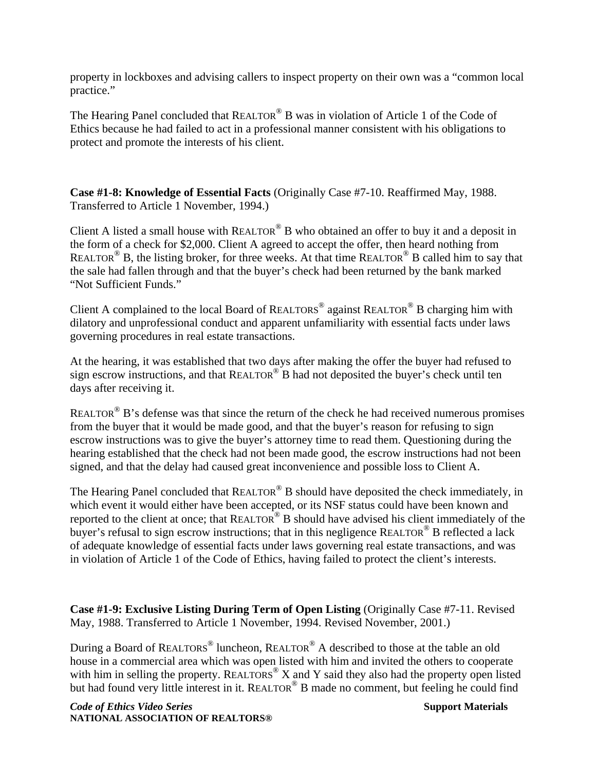property in lockboxes and advising callers to inspect property on their own was a "common local practice."

The Hearing Panel concluded that REALTOR<sup>®</sup> B was in violation of Article 1 of the Code of Ethics because he had failed to act in a professional manner consistent with his obligations to protect and promote the interests of his client.

**Case #1-8: Knowledge of Essential Facts** (Originally Case #7-10. Reaffirmed May, 1988. Transferred to Article 1 November, 1994.)

Client A listed a small house with  $REALTOR^{\circledR}$  B who obtained an offer to buy it and a deposit in the form of a check for \$2,000. Client A agreed to accept the offer, then heard nothing from REALTOR<sup>®</sup> B, the listing broker, for three weeks. At that time REALTOR<sup>®</sup> B called him to say that the sale had fallen through and that the buyer's check had been returned by the bank marked "Not Sufficient Funds."

Client A complained to the local Board of REALTORS<sup>®</sup> against REALTOR<sup>®</sup> B charging him with dilatory and unprofessional conduct and apparent unfamiliarity with essential facts under laws governing procedures in real estate transactions.

At the hearing, it was established that two days after making the offer the buyer had refused to sign escrow instructions, and that  $REALTOR^{\circledcirc}$  B had not deposited the buyer's check until ten days after receiving it.

REALTOR<sup>®</sup> B's defense was that since the return of the check he had received numerous promises from the buyer that it would be made good, and that the buyer's reason for refusing to sign escrow instructions was to give the buyer's attorney time to read them. Questioning during the hearing established that the check had not been made good, the escrow instructions had not been signed, and that the delay had caused great inconvenience and possible loss to Client A.

The Hearing Panel concluded that REALTOR<sup>®</sup> B should have deposited the check immediately, in which event it would either have been accepted, or its NSF status could have been known and reported to the client at once; that REALTOR® B should have advised his client immediately of the buyer's refusal to sign escrow instructions; that in this negligence REALTOR<sup>®</sup> B reflected a lack of adequate knowledge of essential facts under laws governing real estate transactions, and was in violation of Article 1 of the Code of Ethics, having failed to protect the client's interests.

**Case #1-9: Exclusive Listing During Term of Open Listing** (Originally Case #7-11. Revised May, 1988. Transferred to Article 1 November, 1994. Revised November, 2001.)

During a Board of REALTORS<sup>®</sup> luncheon, REALTOR<sup>®</sup> A described to those at the table an old house in a commercial area which was open listed with him and invited the others to cooperate with him in selling the property. REALTORS<sup>®</sup> X and Y said they also had the property open listed but had found very little interest in it. REALTOR<sup>®</sup> B made no comment, but feeling he could find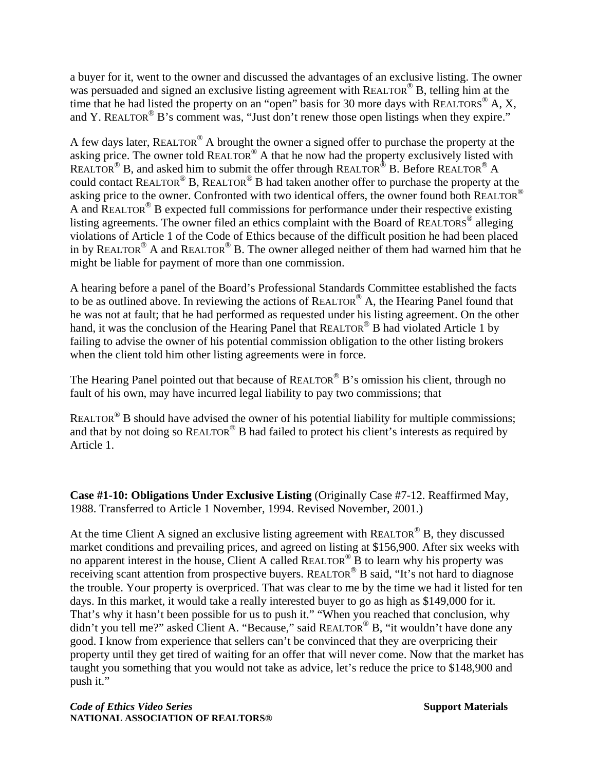a buyer for it, went to the owner and discussed the advantages of an exclusive listing. The owner was persuaded and signed an exclusive listing agreement with REALTOR<sup>®</sup> B, telling him at the time that he had listed the property on an "open" basis for 30 more days with  $REALTORS^{\circledcirc} A$ , X, and Y. REALTOR<sup>®</sup> B's comment was, "Just don't renew those open listings when they expire."

A few days later, REALTOR<sup>®</sup> A brought the owner a signed offer to purchase the property at the asking price. The owner told REALTOR® A that he now had the property exclusively listed with REALTOR<sup>®</sup> B, and asked him to submit the offer through REALTOR<sup>®</sup> B. Before REALTOR<sup>®</sup> A could contact REALTOR® B, REALTOR® B had taken another offer to purchase the property at the asking price to the owner. Confronted with two identical offers, the owner found both REALTOR<sup>®</sup> A and REALTOR<sup>®</sup> B expected full commissions for performance under their respective existing listing agreements. The owner filed an ethics complaint with the Board of REALTORS<sup>®</sup> alleging violations of Article 1 of the Code of Ethics because of the difficult position he had been placed in by REALTOR<sup>®</sup> A and REALTOR<sup>®</sup> B. The owner alleged neither of them had warned him that he might be liable for payment of more than one commission.

A hearing before a panel of the Board's Professional Standards Committee established the facts to be as outlined above. In reviewing the actions of REALTOR® A, the Hearing Panel found that he was not at fault; that he had performed as requested under his listing agreement. On the other hand, it was the conclusion of the Hearing Panel that REALTOR<sup>®</sup> B had violated Article 1 by failing to advise the owner of his potential commission obligation to the other listing brokers when the client told him other listing agreements were in force.

The Hearing Panel pointed out that because of REALTOR<sup>®</sup> B's omission his client, through no fault of his own, may have incurred legal liability to pay two commissions; that

REALTOR<sup>®</sup> B should have advised the owner of his potential liability for multiple commissions; and that by not doing so REALTOR<sup>®</sup> B had failed to protect his client's interests as required by Article 1.

**Case #1-10: Obligations Under Exclusive Listing** (Originally Case #7-12. Reaffirmed May, 1988. Transferred to Article 1 November, 1994. Revised November, 2001.)

At the time Client A signed an exclusive listing agreement with REALTOR<sup>®</sup> B, they discussed market conditions and prevailing prices, and agreed on listing at \$156,900. After six weeks with no apparent interest in the house, Client A called  $REALTOR^{\circledcirc}$  B to learn why his property was receiving scant attention from prospective buyers. REALTOR<sup>®</sup> B said, "It's not hard to diagnose the trouble. Your property is overpriced. That was clear to me by the time we had it listed for ten days. In this market, it would take a really interested buyer to go as high as \$149,000 for it. That's why it hasn't been possible for us to push it." "When you reached that conclusion, why didn't you tell me?" asked Client A. "Because," said REALTOR<sup>®</sup> B, "it wouldn't have done any good. I know from experience that sellers can't be convinced that they are overpricing their property until they get tired of waiting for an offer that will never come. Now that the market has taught you something that you would not take as advice, let's reduce the price to \$148,900 and push it."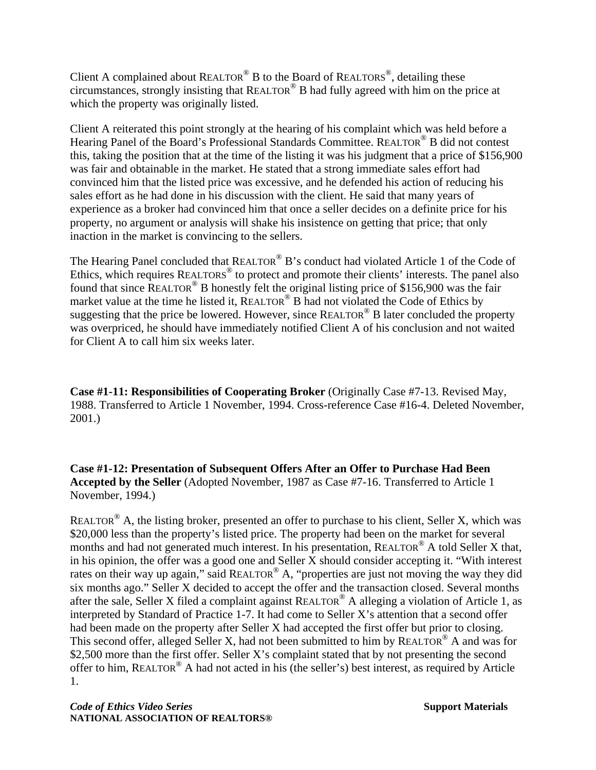Client A complained about REALTOR® B to the Board of REALTORS®, detailing these circumstances, strongly insisting that REALTOR® B had fully agreed with him on the price at which the property was originally listed.

Client A reiterated this point strongly at the hearing of his complaint which was held before a Hearing Panel of the Board's Professional Standards Committee. REALTOR® B did not contest this, taking the position that at the time of the listing it was his judgment that a price of \$156,900 was fair and obtainable in the market. He stated that a strong immediate sales effort had convinced him that the listed price was excessive, and he defended his action of reducing his sales effort as he had done in his discussion with the client. He said that many years of experience as a broker had convinced him that once a seller decides on a definite price for his property, no argument or analysis will shake his insistence on getting that price; that only inaction in the market is convincing to the sellers.

The Hearing Panel concluded that REALTOR<sup>®</sup> B's conduct had violated Article 1 of the Code of Ethics, which requires REALTORS<sup>®</sup> to protect and promote their clients' interests. The panel also found that since REALTOR® B honestly felt the original listing price of \$156,900 was the fair market value at the time he listed it, REALTOR<sup>®</sup> B had not violated the Code of Ethics by suggesting that the price be lowered. However, since  $REALTOR^{\circledR}$  B later concluded the property was overpriced, he should have immediately notified Client A of his conclusion and not waited for Client A to call him six weeks later.

**Case #1-11: Responsibilities of Cooperating Broker** (Originally Case #7-13. Revised May, 1988. Transferred to Article 1 November, 1994. Cross-reference Case #16-4. Deleted November, 2001.)

**Case #1-12: Presentation of Subsequent Offers After an Offer to Purchase Had Been Accepted by the Seller** (Adopted November, 1987 as Case #7-16. Transferred to Article 1 November, 1994.)

REALTOR<sup>®</sup> A, the listing broker, presented an offer to purchase to his client, Seller X, which was \$20,000 less than the property's listed price. The property had been on the market for several months and had not generated much interest. In his presentation, REALTOR® A told Seller X that, in his opinion, the offer was a good one and Seller X should consider accepting it. "With interest rates on their way up again," said REALTOR<sup>®</sup> A, "properties are just not moving the way they did six months ago." Seller X decided to accept the offer and the transaction closed. Several months after the sale, Seller X filed a complaint against REALTOR® A alleging a violation of Article 1, as interpreted by Standard of Practice 1-7. It had come to Seller X's attention that a second offer had been made on the property after Seller X had accepted the first offer but prior to closing. This second offer, alleged Seller X, had not been submitted to him by REALTOR<sup>®</sup> A and was for \$2,500 more than the first offer. Seller X's complaint stated that by not presenting the second offer to him, REALTOR® A had not acted in his (the seller's) best interest, as required by Article 1.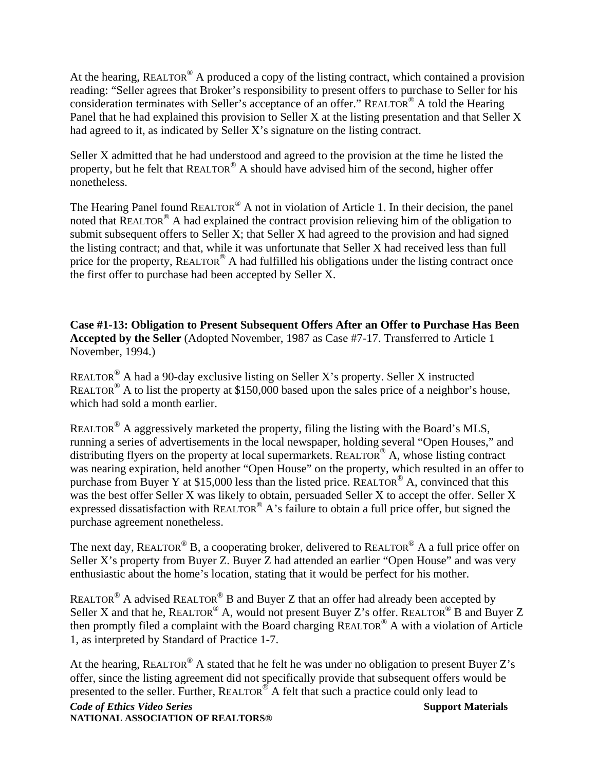At the hearing, REALTOR<sup>®</sup> A produced a copy of the listing contract, which contained a provision reading: "Seller agrees that Broker's responsibility to present offers to purchase to Seller for his consideration terminates with Seller's acceptance of an offer." REALTOR® A told the Hearing Panel that he had explained this provision to Seller X at the listing presentation and that Seller X had agreed to it, as indicated by Seller X's signature on the listing contract.

Seller X admitted that he had understood and agreed to the provision at the time he listed the property, but he felt that REALTOR® A should have advised him of the second, higher offer nonetheless.

The Hearing Panel found REALTOR® A not in violation of Article 1. In their decision, the panel noted that REALTOR® A had explained the contract provision relieving him of the obligation to submit subsequent offers to Seller X; that Seller X had agreed to the provision and had signed the listing contract; and that, while it was unfortunate that Seller X had received less than full price for the property, REALTOR<sup>®</sup> A had fulfilled his obligations under the listing contract once the first offer to purchase had been accepted by Seller X.

**Case #1-13: Obligation to Present Subsequent Offers After an Offer to Purchase Has Been Accepted by the Seller** (Adopted November, 1987 as Case #7-17. Transferred to Article 1 November, 1994.)

REALTOR® A had a 90-day exclusive listing on Seller X's property. Seller X instructed REALTOR<sup>®</sup> A to list the property at \$150,000 based upon the sales price of a neighbor's house, which had sold a month earlier.

REALTOR® A aggressively marketed the property, filing the listing with the Board's MLS, running a series of advertisements in the local newspaper, holding several "Open Houses," and distributing flyers on the property at local supermarkets. REALTOR<sup>®</sup> A, whose listing contract was nearing expiration, held another "Open House" on the property, which resulted in an offer to purchase from Buyer Y at \$15,000 less than the listed price. REALTOR<sup>®</sup> A, convinced that this was the best offer Seller X was likely to obtain, persuaded Seller X to accept the offer. Seller X expressed dissatisfaction with REALTOR® A's failure to obtain a full price offer, but signed the purchase agreement nonetheless.

The next day, REALTOR<sup>®</sup> B, a cooperating broker, delivered to REALTOR<sup>®</sup> A a full price offer on Seller X's property from Buyer Z. Buyer Z had attended an earlier "Open House" and was very enthusiastic about the home's location, stating that it would be perfect for his mother.

REALTOR<sup>®</sup> A advised REALTOR<sup>®</sup> B and Buyer Z that an offer had already been accepted by Seller X and that he, REALTOR<sup>®</sup> A, would not present Buyer Z's offer. REALTOR<sup>®</sup> B and Buyer Z then promptly filed a complaint with the Board charging REALTOR® A with a violation of Article 1, as interpreted by Standard of Practice 1-7.

At the hearing, REALTOR<sup>®</sup> A stated that he felt he was under no obligation to present Buyer Z's offer, since the listing agreement did not specifically provide that subsequent offers would be presented to the seller. Further, REALTOR® A felt that such a practice could only lead to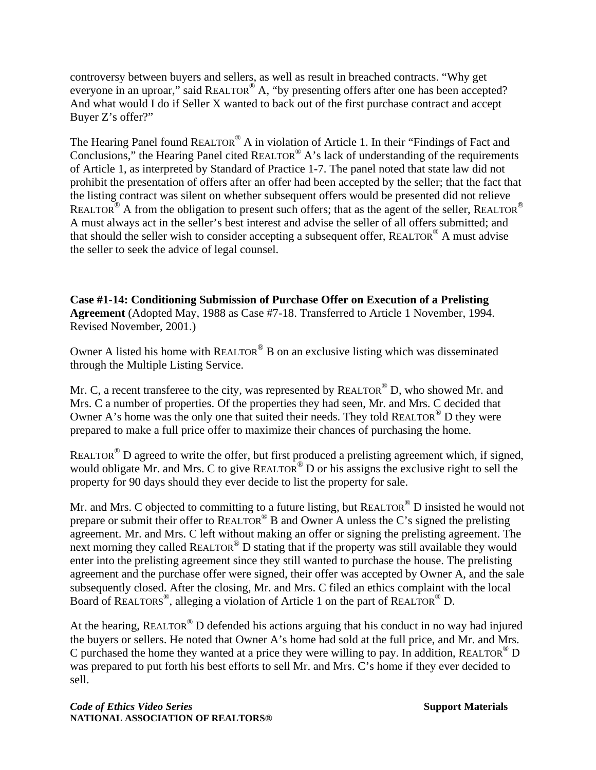controversy between buyers and sellers, as well as result in breached contracts. "Why get everyone in an uproar," said REALTOR® A, "by presenting offers after one has been accepted? And what would I do if Seller X wanted to back out of the first purchase contract and accept Buyer Z's offer?"

The Hearing Panel found REALTOR<sup>®</sup> A in violation of Article 1. In their "Findings of Fact and Conclusions," the Hearing Panel cited REALTOR<sup>®</sup> A's lack of understanding of the requirements of Article 1, as interpreted by Standard of Practice 1-7. The panel noted that state law did not prohibit the presentation of offers after an offer had been accepted by the seller; that the fact that the listing contract was silent on whether subsequent offers would be presented did not relieve REALTOR<sup>®</sup> A from the obligation to present such offers; that as the agent of the seller, REALTOR<sup>®</sup> A must always act in the seller's best interest and advise the seller of all offers submitted; and that should the seller wish to consider accepting a subsequent offer, REALTOR<sup>®</sup> A must advise the seller to seek the advice of legal counsel.

**Case #1-14: Conditioning Submission of Purchase Offer on Execution of a Prelisting Agreement** (Adopted May, 1988 as Case #7-18. Transferred to Article 1 November, 1994. Revised November, 2001.)

Owner A listed his home with  $REALTOR^{\circledcirc}$  B on an exclusive listing which was disseminated through the Multiple Listing Service.

Mr. C, a recent transferee to the city, was represented by REALTOR<sup>®</sup> D, who showed Mr. and Mrs. C a number of properties. Of the properties they had seen, Mr. and Mrs. C decided that Owner A's home was the only one that suited their needs. They told REALTOR<sup>®</sup> D they were prepared to make a full price offer to maximize their chances of purchasing the home.

REALTOR<sup>®</sup> D agreed to write the offer, but first produced a prelisting agreement which, if signed, would obligate Mr. and Mrs. C to give REALTOR<sup>®</sup> D or his assigns the exclusive right to sell the property for 90 days should they ever decide to list the property for sale.

Mr. and Mrs. C objected to committing to a future listing, but REALTOR® D insisted he would not prepare or submit their offer to REALTOR<sup>®</sup> B and Owner A unless the C's signed the prelisting agreement. Mr. and Mrs. C left without making an offer or signing the prelisting agreement. The next morning they called REALTOR® D stating that if the property was still available they would enter into the prelisting agreement since they still wanted to purchase the house. The prelisting agreement and the purchase offer were signed, their offer was accepted by Owner A, and the sale subsequently closed. After the closing, Mr. and Mrs. C filed an ethics complaint with the local Board of REALTORS®, alleging a violation of Article 1 on the part of REALTOR® D.

At the hearing, REALTOR<sup>®</sup> D defended his actions arguing that his conduct in no way had injured the buyers or sellers. He noted that Owner A's home had sold at the full price, and Mr. and Mrs. C purchased the home they wanted at a price they were willing to pay. In addition, REALTOR<sup>®</sup> D was prepared to put forth his best efforts to sell Mr. and Mrs. C's home if they ever decided to sell.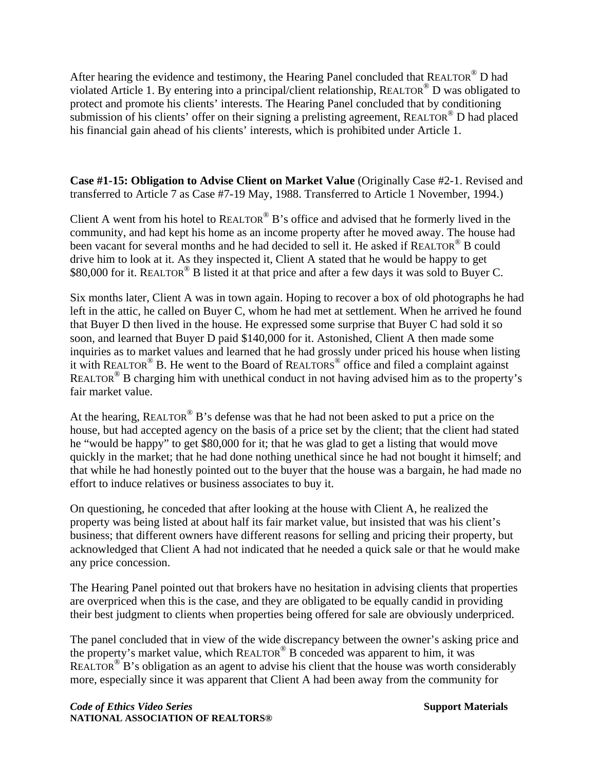After hearing the evidence and testimony, the Hearing Panel concluded that REALTOR® D had violated Article 1. By entering into a principal/client relationship, REALTOR® D was obligated to protect and promote his clients' interests. The Hearing Panel concluded that by conditioning submission of his clients' offer on their signing a prelisting agreement, REALTOR<sup>®</sup> D had placed his financial gain ahead of his clients' interests, which is prohibited under Article 1.

**Case #1-15: Obligation to Advise Client on Market Value** (Originally Case #2-1. Revised and transferred to Article 7 as Case #7-19 May, 1988. Transferred to Article 1 November, 1994.)

Client A went from his hotel to  $REALTOR^{\circledR}$  B's office and advised that he formerly lived in the community, and had kept his home as an income property after he moved away. The house had been vacant for several months and he had decided to sell it. He asked if REALTOR<sup>®</sup> B could drive him to look at it. As they inspected it, Client A stated that he would be happy to get \$80,000 for it. REALTOR® B listed it at that price and after a few days it was sold to Buyer C.

Six months later, Client A was in town again. Hoping to recover a box of old photographs he had left in the attic, he called on Buyer C, whom he had met at settlement. When he arrived he found that Buyer D then lived in the house. He expressed some surprise that Buyer C had sold it so soon, and learned that Buyer D paid \$140,000 for it. Astonished, Client A then made some inquiries as to market values and learned that he had grossly under priced his house when listing it with REALTOR® B. He went to the Board of REALTORS® office and filed a complaint against REALTOR<sup>®</sup> B charging him with unethical conduct in not having advised him as to the property's fair market value.

At the hearing, REALTOR<sup>®</sup> B's defense was that he had not been asked to put a price on the house, but had accepted agency on the basis of a price set by the client; that the client had stated he "would be happy" to get \$80,000 for it; that he was glad to get a listing that would move quickly in the market; that he had done nothing unethical since he had not bought it himself; and that while he had honestly pointed out to the buyer that the house was a bargain, he had made no effort to induce relatives or business associates to buy it.

On questioning, he conceded that after looking at the house with Client A, he realized the property was being listed at about half its fair market value, but insisted that was his client's business; that different owners have different reasons for selling and pricing their property, but acknowledged that Client A had not indicated that he needed a quick sale or that he would make any price concession.

The Hearing Panel pointed out that brokers have no hesitation in advising clients that properties are overpriced when this is the case, and they are obligated to be equally candid in providing their best judgment to clients when properties being offered for sale are obviously underpriced.

The panel concluded that in view of the wide discrepancy between the owner's asking price and the property's market value, which REALTOR® B conceded was apparent to him, it was REALTOR<sup>®</sup> B's obligation as an agent to advise his client that the house was worth considerably more, especially since it was apparent that Client A had been away from the community for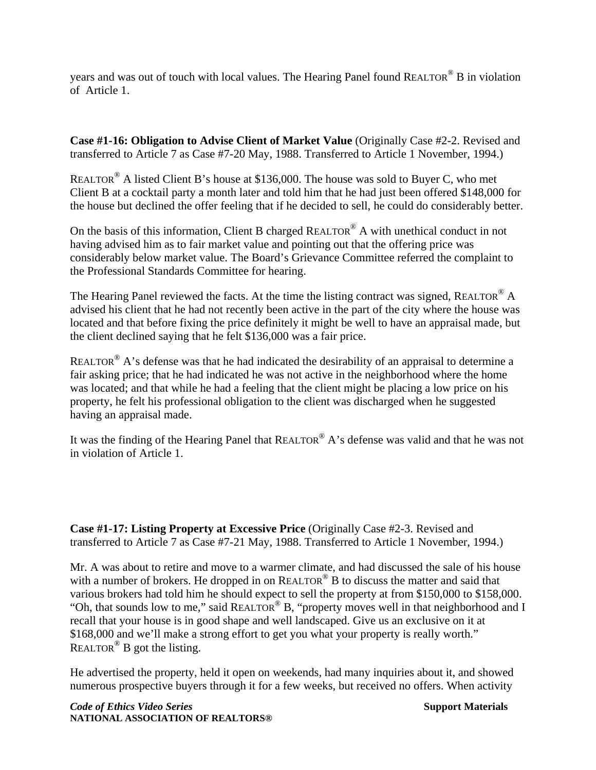years and was out of touch with local values. The Hearing Panel found REALTOR<sup>®</sup> B in violation of Article 1.

**Case #1-16: Obligation to Advise Client of Market Value** (Originally Case #2-2. Revised and transferred to Article 7 as Case #7-20 May, 1988. Transferred to Article 1 November, 1994.)

REALTOR® A listed Client B's house at \$136,000. The house was sold to Buyer C, who met Client B at a cocktail party a month later and told him that he had just been offered \$148,000 for the house but declined the offer feeling that if he decided to sell, he could do considerably better.

On the basis of this information, Client B charged REALTOR<sup>®</sup> A with unethical conduct in not having advised him as to fair market value and pointing out that the offering price was considerably below market value. The Board's Grievance Committee referred the complaint to the Professional Standards Committee for hearing.

The Hearing Panel reviewed the facts. At the time the listing contract was signed, REALTOR<sup>®</sup> A advised his client that he had not recently been active in the part of the city where the house was located and that before fixing the price definitely it might be well to have an appraisal made, but the client declined saying that he felt \$136,000 was a fair price.

REALTOR<sup>®</sup> A's defense was that he had indicated the desirability of an appraisal to determine a fair asking price; that he had indicated he was not active in the neighborhood where the home was located; and that while he had a feeling that the client might be placing a low price on his property, he felt his professional obligation to the client was discharged when he suggested having an appraisal made.

It was the finding of the Hearing Panel that REALTOR® A's defense was valid and that he was not in violation of Article 1.

**Case #1-17: Listing Property at Excessive Price** (Originally Case #2-3. Revised and transferred to Article 7 as Case #7-21 May, 1988. Transferred to Article 1 November, 1994.)

Mr. A was about to retire and move to a warmer climate, and had discussed the sale of his house with a number of brokers. He dropped in on REALTOR<sup>®</sup> B to discuss the matter and said that various brokers had told him he should expect to sell the property at from \$150,000 to \$158,000. "Oh, that sounds low to me," said REALTOR® B, "property moves well in that neighborhood and I recall that your house is in good shape and well landscaped. Give us an exclusive on it at \$168,000 and we'll make a strong effort to get you what your property is really worth."  $REALTOR^@$  B got the listing.

He advertised the property, held it open on weekends, had many inquiries about it, and showed numerous prospective buyers through it for a few weeks, but received no offers. When activity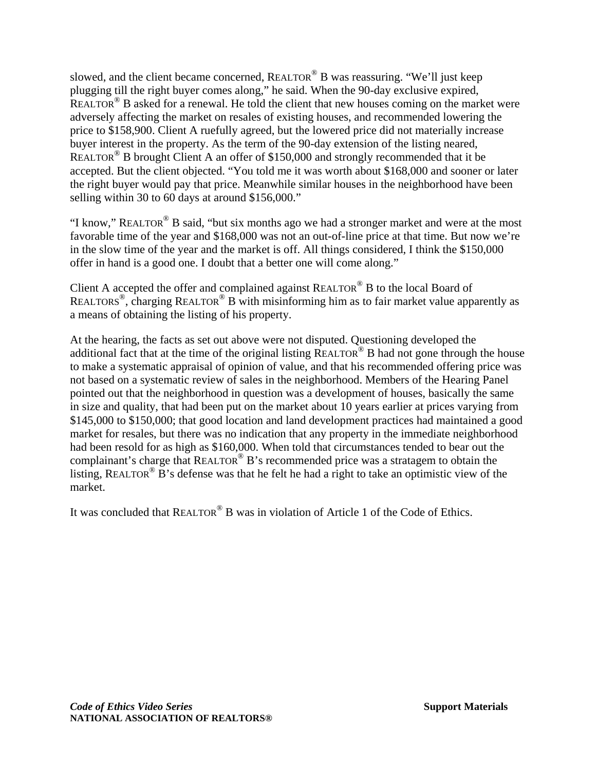slowed, and the client became concerned, REALTOR<sup>®</sup> B was reassuring. "We'll just keep plugging till the right buyer comes along," he said. When the 90-day exclusive expired, REALTOR<sup>®</sup> B asked for a renewal. He told the client that new houses coming on the market were adversely affecting the market on resales of existing houses, and recommended lowering the price to \$158,900. Client A ruefully agreed, but the lowered price did not materially increase buyer interest in the property. As the term of the 90-day extension of the listing neared, REALTOR<sup>®</sup> B brought Client A an offer of \$150,000 and strongly recommended that it be accepted. But the client objected. "You told me it was worth about \$168,000 and sooner or later the right buyer would pay that price. Meanwhile similar houses in the neighborhood have been selling within 30 to 60 days at around \$156,000."

"I know," REALTOR<sup>®</sup> B said, "but six months ago we had a stronger market and were at the most favorable time of the year and \$168,000 was not an out-of-line price at that time. But now we're in the slow time of the year and the market is off. All things considered, I think the \$150,000 offer in hand is a good one. I doubt that a better one will come along."

Client A accepted the offer and complained against REALTOR® B to the local Board of REALTORS®, charging REALTOR® B with misinforming him as to fair market value apparently as a means of obtaining the listing of his property.

At the hearing, the facts as set out above were not disputed. Questioning developed the additional fact that at the time of the original listing REALTOR<sup>®</sup> B had not gone through the house to make a systematic appraisal of opinion of value, and that his recommended offering price was not based on a systematic review of sales in the neighborhood. Members of the Hearing Panel pointed out that the neighborhood in question was a development of houses, basically the same in size and quality, that had been put on the market about 10 years earlier at prices varying from \$145,000 to \$150,000; that good location and land development practices had maintained a good market for resales, but there was no indication that any property in the immediate neighborhood had been resold for as high as \$160,000. When told that circumstances tended to bear out the complainant's charge that REALTOR® B's recommended price was a stratagem to obtain the listing, REALTOR<sup>®</sup> B's defense was that he felt he had a right to take an optimistic view of the market.

It was concluded that REALTOR® B was in violation of Article 1 of the Code of Ethics.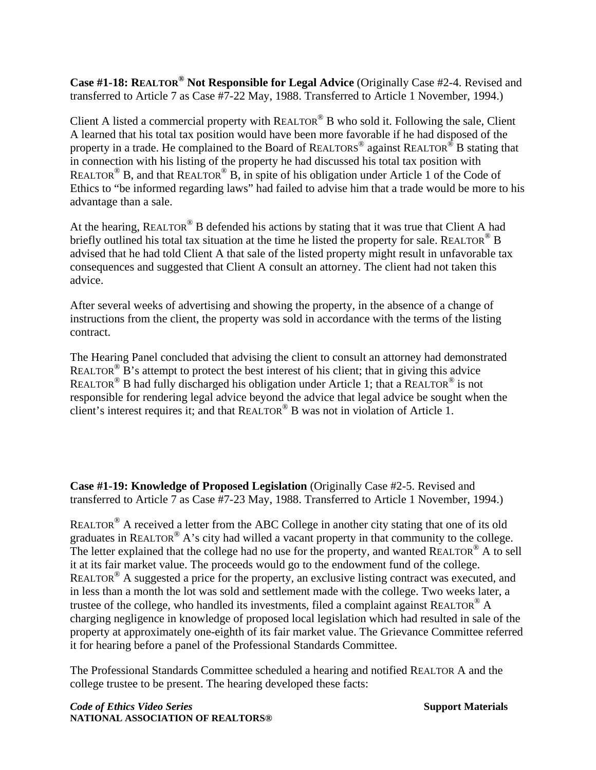**Case #1-18: REALTOR® Not Responsible for Legal Advice** (Originally Case #2-4. Revised and transferred to Article 7 as Case #7-22 May, 1988. Transferred to Article 1 November, 1994.)

Client A listed a commercial property with REALTOR® B who sold it. Following the sale, Client A learned that his total tax position would have been more favorable if he had disposed of the property in a trade. He complained to the Board of REALTORS<sup>®</sup> against REALTOR<sup>®</sup> B stating that in connection with his listing of the property he had discussed his total tax position with REALTOR<sup>®</sup> B, and that REALTOR<sup>®</sup> B, in spite of his obligation under Article 1 of the Code of Ethics to "be informed regarding laws" had failed to advise him that a trade would be more to his advantage than a sale.

At the hearing, REALTOR<sup>®</sup> B defended his actions by stating that it was true that Client A had briefly outlined his total tax situation at the time he listed the property for sale. REALTOR<sup>®</sup> B advised that he had told Client A that sale of the listed property might result in unfavorable tax consequences and suggested that Client A consult an attorney. The client had not taken this advice.

After several weeks of advertising and showing the property, in the absence of a change of instructions from the client, the property was sold in accordance with the terms of the listing contract.

The Hearing Panel concluded that advising the client to consult an attorney had demonstrated REALTOR<sup>®</sup> B's attempt to protect the best interest of his client; that in giving this advice REALTOR<sup>®</sup> B had fully discharged his obligation under Article 1; that a REALTOR<sup>®</sup> is not responsible for rendering legal advice beyond the advice that legal advice be sought when the client's interest requires it; and that REALTOR® B was not in violation of Article 1.

**Case #1-19: Knowledge of Proposed Legislation** (Originally Case #2-5. Revised and transferred to Article 7 as Case #7-23 May, 1988. Transferred to Article 1 November, 1994.)

REALTOR® A received a letter from the ABC College in another city stating that one of its old graduates in REALTOR<sup>®</sup> A's city had willed a vacant property in that community to the college. The letter explained that the college had no use for the property, and wanted REALTOR<sup>®</sup> A to sell it at its fair market value. The proceeds would go to the endowment fund of the college. REALTOR<sup>®</sup> A suggested a price for the property, an exclusive listing contract was executed, and in less than a month the lot was sold and settlement made with the college. Two weeks later, a trustee of the college, who handled its investments, filed a complaint against REALTOR<sup>®</sup> A charging negligence in knowledge of proposed local legislation which had resulted in sale of the property at approximately one-eighth of its fair market value. The Grievance Committee referred it for hearing before a panel of the Professional Standards Committee.

The Professional Standards Committee scheduled a hearing and notified REALTOR A and the college trustee to be present. The hearing developed these facts:

**Code of Ethics Video Series Support Materials Support Materials Support Materials NATIONAL ASSOCIATION OF REALTORS®**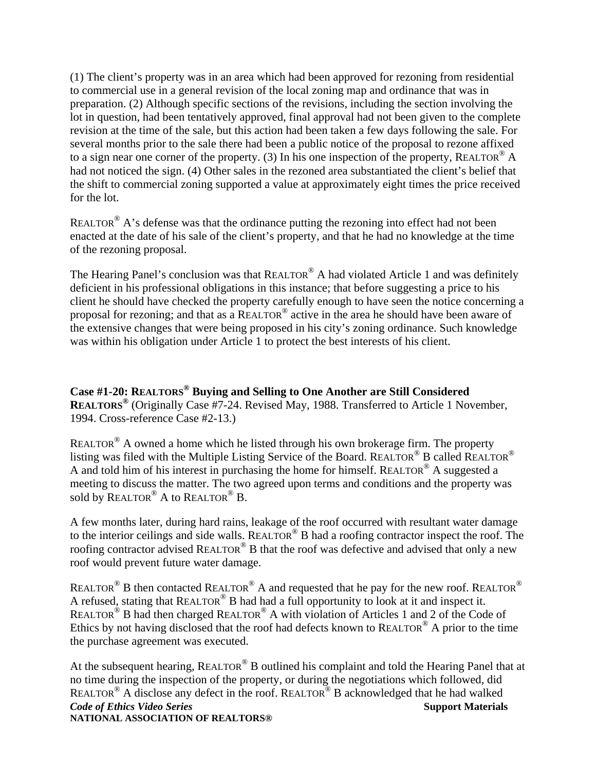(1) The client's property was in an area which had been approved for rezoning from residential to commercial use in a general revision of the local zoning map and ordinance that was in preparation. (2) Although specific sections of the revisions, including the section involving the lot in question, had been tentatively approved, final approval had not been given to the complete revision at the time of the sale, but this action had been taken a few days following the sale. For several months prior to the sale there had been a public notice of the proposal to rezone affixed to a sign near one corner of the property. (3) In his one inspection of the property, REALTOR<sup>®</sup> A had not noticed the sign. (4) Other sales in the rezoned area substantiated the client's belief that the shift to commercial zoning supported a value at approximately eight times the price received for the lot.

REALTOR<sup>®</sup> A's defense was that the ordinance putting the rezoning into effect had not been enacted at the date of his sale of the client's property, and that he had no knowledge at the time of the rezoning proposal.

The Hearing Panel's conclusion was that REALTOR<sup>®</sup> A had violated Article 1 and was definitely deficient in his professional obligations in this instance; that before suggesting a price to his client he should have checked the property carefully enough to have seen the notice concerning a proposal for rezoning; and that as a REALTOR® active in the area he should have been aware of the extensive changes that were being proposed in his city's zoning ordinance. Such knowledge was within his obligation under Article 1 to protect the best interests of his client.

**Case #1-20: REALTORS® Buying and Selling to One Another are Still Considered REALTORS®** (Originally Case #7-24. Revised May, 1988. Transferred to Article 1 November, 1994. Cross-reference Case #2-13.)

REALTOR® A owned a home which he listed through his own brokerage firm. The property listing was filed with the Multiple Listing Service of the Board. REALTOR® B called REALTOR® A and told him of his interest in purchasing the home for himself. REALTOR® A suggested a meeting to discuss the matter. The two agreed upon terms and conditions and the property was sold by REALTOR<sup>®</sup> A to REALTOR<sup>®</sup> B.

A few months later, during hard rains, leakage of the roof occurred with resultant water damage to the interior ceilings and side walls. REALTOR<sup>®</sup> B had a roofing contractor inspect the roof. The roofing contractor advised REALTOR<sup>®</sup> B that the roof was defective and advised that only a new roof would prevent future water damage.

REALTOR<sup>®</sup> B then contacted REALTOR<sup>®</sup> A and requested that he pay for the new roof. REALTOR<sup>®</sup> A refused, stating that REALTOR® B had had a full opportunity to look at it and inspect it. REALTOR<sup>®</sup> B had then charged REALTOR<sup>®</sup> A with violation of Articles 1 and 2 of the Code of Ethics by not having disclosed that the roof had defects known to REALTOR® A prior to the time the purchase agreement was executed.

**Code of Ethics Video Series** Support Materials **NATIONAL ASSOCIATION OF REALTORS®**  At the subsequent hearing, REALTOR<sup>®</sup> B outlined his complaint and told the Hearing Panel that at no time during the inspection of the property, or during the negotiations which followed, did REALTOR® A disclose any defect in the roof. REALTOR® B acknowledged that he had walked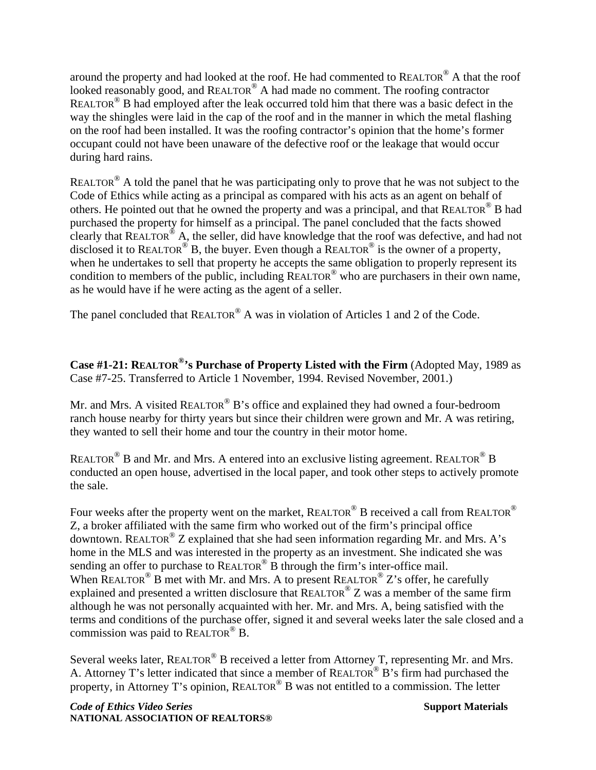around the property and had looked at the roof. He had commented to REALTOR® A that the roof looked reasonably good, and REALTOR<sup>®</sup> A had made no comment. The roofing contractor REALTOR<sup>®</sup> B had employed after the leak occurred told him that there was a basic defect in the way the shingles were laid in the cap of the roof and in the manner in which the metal flashing on the roof had been installed. It was the roofing contractor's opinion that the home's former occupant could not have been unaware of the defective roof or the leakage that would occur during hard rains.

REALTOR<sup>®</sup> A told the panel that he was participating only to prove that he was not subject to the Code of Ethics while acting as a principal as compared with his acts as an agent on behalf of others. He pointed out that he owned the property and was a principal, and that REALTOR® B had purchased the property for himself as a principal. The panel concluded that the facts showed clearly that REALTOR® A, the seller, did have knowledge that the roof was defective, and had not disclosed it to REALTOR<sup>®</sup> B, the buyer. Even though a REALTOR<sup>®</sup> is the owner of a property, when he undertakes to sell that property he accepts the same obligation to properly represent its condition to members of the public, including REALTOR® who are purchasers in their own name, as he would have if he were acting as the agent of a seller.

The panel concluded that REALTOR<sup>®</sup> A was in violation of Articles 1 and 2 of the Code.

**Case #1-21: REALTOR®'s Purchase of Property Listed with the Firm** (Adopted May, 1989 as Case #7-25. Transferred to Article 1 November, 1994. Revised November, 2001.)

Mr. and Mrs. A visited REALTOR<sup>®</sup> B's office and explained they had owned a four-bedroom ranch house nearby for thirty years but since their children were grown and Mr. A was retiring, they wanted to sell their home and tour the country in their motor home.

REALTOR<sup>®</sup> B and Mr. and Mrs. A entered into an exclusive listing agreement. REALTOR<sup>®</sup> B conducted an open house, advertised in the local paper, and took other steps to actively promote the sale.

Four weeks after the property went on the market, REALTOR<sup>®</sup> B received a call from REALTOR<sup>®</sup> Z, a broker affiliated with the same firm who worked out of the firm's principal office downtown. REALTOR® Z explained that she had seen information regarding Mr. and Mrs. A's home in the MLS and was interested in the property as an investment. She indicated she was sending an offer to purchase to  $REALTOR^{\circledR}$  B through the firm's inter-office mail. When REALTOR<sup>®</sup> B met with Mr. and Mrs. A to present REALTOR<sup>®</sup> Z's offer, he carefully explained and presented a written disclosure that  $REALTOR^{\circledR}Z$  was a member of the same firm although he was not personally acquainted with her. Mr. and Mrs. A, being satisfied with the terms and conditions of the purchase offer, signed it and several weeks later the sale closed and a commission was paid to REALTOR® B.

Several weeks later, REALTOR<sup>®</sup> B received a letter from Attorney T, representing Mr. and Mrs. A. Attorney T's letter indicated that since a member of REALTOR® B's firm had purchased the property, in Attorney T's opinion, REALTOR® B was not entitled to a commission. The letter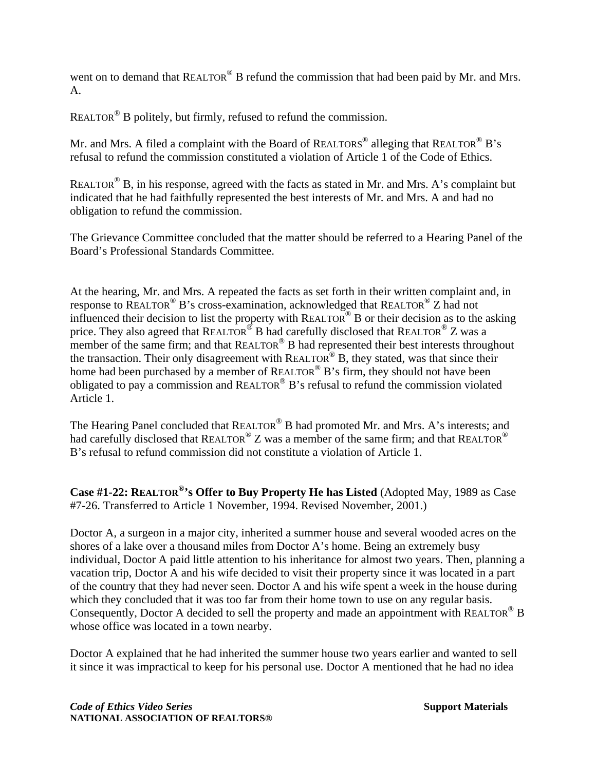went on to demand that REALTOR<sup>®</sup> B refund the commission that had been paid by Mr. and Mrs. A.

REALTOR® B politely, but firmly, refused to refund the commission.

Mr. and Mrs. A filed a complaint with the Board of REALTORS<sup>®</sup> alleging that REALTOR<sup>®</sup> B's refusal to refund the commission constituted a violation of Article 1 of the Code of Ethics.

REALTOR<sup>®</sup> B, in his response, agreed with the facts as stated in Mr. and Mrs. A's complaint but indicated that he had faithfully represented the best interests of Mr. and Mrs. A and had no obligation to refund the commission.

The Grievance Committee concluded that the matter should be referred to a Hearing Panel of the Board's Professional Standards Committee.

At the hearing, Mr. and Mrs. A repeated the facts as set forth in their written complaint and, in response to REALTOR<sup>®</sup> B's cross-examination, acknowledged that REALTOR<sup>®</sup> Z had not influenced their decision to list the property with REALTOR<sup>®</sup> B or their decision as to the asking price. They also agreed that REALTOR<sup>®</sup> B had carefully disclosed that REALTOR<sup>®</sup> Z was a member of the same firm; and that  $REALTOR^{\circledR}$  B had represented their best interests throughout the transaction. Their only disagreement with REALTOR<sup>®</sup> B, they stated, was that since their home had been purchased by a member of REALTOR<sup>®</sup> B's firm, they should not have been obligated to pay a commission and REALTOR® B's refusal to refund the commission violated Article 1.

The Hearing Panel concluded that REALTOR® B had promoted Mr. and Mrs. A's interests; and had carefully disclosed that REALTOR<sup>®</sup> Z was a member of the same firm; and that REALTOR<sup>®</sup> B's refusal to refund commission did not constitute a violation of Article 1.

**Case #1-22: REALTOR®'s Offer to Buy Property He has Listed** (Adopted May, 1989 as Case #7-26. Transferred to Article 1 November, 1994. Revised November, 2001.)

Doctor A, a surgeon in a major city, inherited a summer house and several wooded acres on the shores of a lake over a thousand miles from Doctor A's home. Being an extremely busy individual, Doctor A paid little attention to his inheritance for almost two years. Then, planning a vacation trip, Doctor A and his wife decided to visit their property since it was located in a part of the country that they had never seen. Doctor A and his wife spent a week in the house during which they concluded that it was too far from their home town to use on any regular basis. Consequently, Doctor A decided to sell the property and made an appointment with REALTOR<sup>®</sup> B whose office was located in a town nearby.

Doctor A explained that he had inherited the summer house two years earlier and wanted to sell it since it was impractical to keep for his personal use. Doctor A mentioned that he had no idea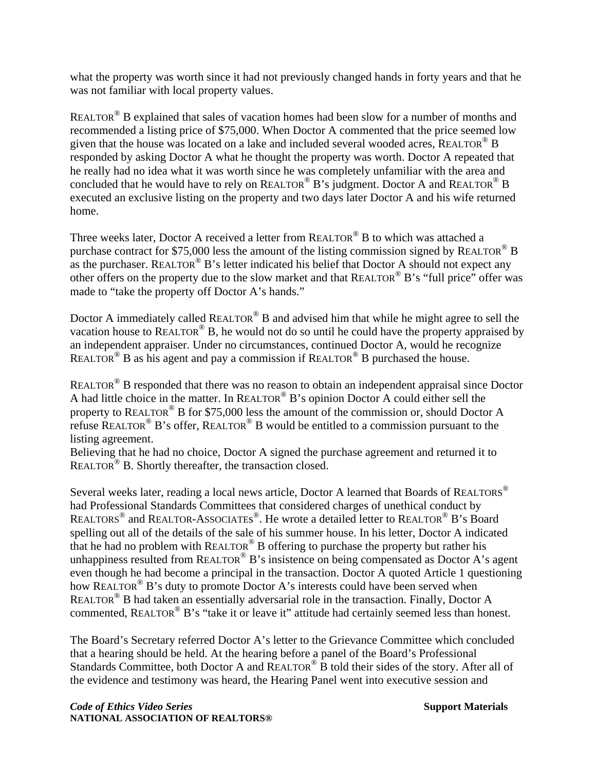what the property was worth since it had not previously changed hands in forty years and that he was not familiar with local property values.

REALTOR<sup>®</sup> B explained that sales of vacation homes had been slow for a number of months and recommended a listing price of \$75,000. When Doctor A commented that the price seemed low given that the house was located on a lake and included several wooded acres, REALTOR® B responded by asking Doctor A what he thought the property was worth. Doctor A repeated that he really had no idea what it was worth since he was completely unfamiliar with the area and concluded that he would have to rely on REALTOR® B's judgment. Doctor A and REALTOR® B executed an exclusive listing on the property and two days later Doctor A and his wife returned home.

Three weeks later, Doctor A received a letter from REALTOR<sup>®</sup> B to which was attached a purchase contract for \$75,000 less the amount of the listing commission signed by REALTOR® B as the purchaser. REALTOR<sup>®</sup> B's letter indicated his belief that Doctor A should not expect any other offers on the property due to the slow market and that REALTOR® B's "full price" offer was made to "take the property off Doctor A's hands."

Doctor A immediately called REALTOR<sup>®</sup> B and advised him that while he might agree to sell the vacation house to REALTOR® B, he would not do so until he could have the property appraised by an independent appraiser. Under no circumstances, continued Doctor A, would he recognize REALTOR<sup>®</sup> B as his agent and pay a commission if REALTOR<sup>®</sup> B purchased the house.

REALTOR<sup>®</sup> B responded that there was no reason to obtain an independent appraisal since Doctor A had little choice in the matter. In REALTOR® B's opinion Doctor A could either sell the property to REALTOR® B for \$75,000 less the amount of the commission or, should Doctor A refuse REALTOR<sup>®</sup> B's offer, REALTOR<sup>®</sup> B would be entitled to a commission pursuant to the listing agreement.

Believing that he had no choice, Doctor A signed the purchase agreement and returned it to REALTOR<sup>®</sup> B. Shortly thereafter, the transaction closed.

Several weeks later, reading a local news article, Doctor A learned that Boards of REALTORS® had Professional Standards Committees that considered charges of unethical conduct by REALTORS<sup>®</sup> and REALTOR-ASSOCIATES<sup>®</sup>. He wrote a detailed letter to REALTOR<sup>®</sup> B's Board spelling out all of the details of the sale of his summer house. In his letter, Doctor A indicated that he had no problem with REALTOR® B offering to purchase the property but rather his unhappiness resulted from REALTOR<sup>®</sup> B's insistence on being compensated as Doctor A's agent even though he had become a principal in the transaction. Doctor A quoted Article 1 questioning how REALTOR<sup>®</sup> B's duty to promote Doctor A's interests could have been served when REALTOR<sup>®</sup> B had taken an essentially adversarial role in the transaction. Finally, Doctor A commented, REALTOR<sup>®</sup> B's "take it or leave it" attitude had certainly seemed less than honest.

The Board's Secretary referred Doctor A's letter to the Grievance Committee which concluded that a hearing should be held. At the hearing before a panel of the Board's Professional Standards Committee, both Doctor A and REALTOR® B told their sides of the story. After all of the evidence and testimony was heard, the Hearing Panel went into executive session and

**Code of Ethics Video Series Support Materials Support Materials Support Materials NATIONAL ASSOCIATION OF REALTORS®**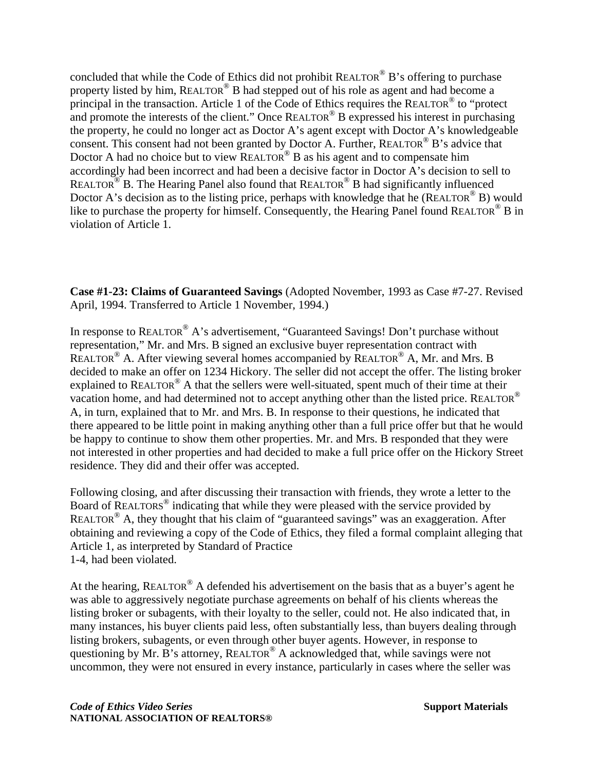concluded that while the Code of Ethics did not prohibit REALTOR® B's offering to purchase property listed by him, REALTOR® B had stepped out of his role as agent and had become a principal in the transaction. Article 1 of the Code of Ethics requires the REALTOR® to "protect and promote the interests of the client." Once REALTOR<sup>®</sup> B expressed his interest in purchasing the property, he could no longer act as Doctor A's agent except with Doctor A's knowledgeable consent. This consent had not been granted by Doctor A. Further, REALTOR® B's advice that Doctor A had no choice but to view  $REALTOR^{\circledR}$  B as his agent and to compensate him accordingly had been incorrect and had been a decisive factor in Doctor A's decision to sell to REALTOR<sup>®</sup> B. The Hearing Panel also found that REALTOR<sup>®</sup> B had significantly influenced Doctor A's decision as to the listing price, perhaps with knowledge that he (REALTOR<sup>®</sup> B) would like to purchase the property for himself. Consequently, the Hearing Panel found REALTOR<sup>®</sup> B in violation of Article 1.

**Case #1-23: Claims of Guaranteed Savings** (Adopted November, 1993 as Case #7-27. Revised April, 1994. Transferred to Article 1 November, 1994.)

In response to REALTOR<sup>®</sup> A's advertisement, "Guaranteed Savings! Don't purchase without representation," Mr. and Mrs. B signed an exclusive buyer representation contract with REALTOR<sup>®</sup> A. After viewing several homes accompanied by REALTOR<sup>®</sup> A, Mr. and Mrs. B decided to make an offer on 1234 Hickory. The seller did not accept the offer. The listing broker explained to REALTOR® A that the sellers were well-situated, spent much of their time at their vacation home, and had determined not to accept anything other than the listed price. REALTOR<sup>®</sup> A, in turn, explained that to Mr. and Mrs. B. In response to their questions, he indicated that there appeared to be little point in making anything other than a full price offer but that he would be happy to continue to show them other properties. Mr. and Mrs. B responded that they were not interested in other properties and had decided to make a full price offer on the Hickory Street residence. They did and their offer was accepted.

Following closing, and after discussing their transaction with friends, they wrote a letter to the Board of REALTORS<sup>®</sup> indicating that while they were pleased with the service provided by REALTOR® A, they thought that his claim of "guaranteed savings" was an exaggeration. After obtaining and reviewing a copy of the Code of Ethics, they filed a formal complaint alleging that Article 1, as interpreted by Standard of Practice 1-4, had been violated.

At the hearing, REALTOR® A defended his advertisement on the basis that as a buyer's agent he was able to aggressively negotiate purchase agreements on behalf of his clients whereas the listing broker or subagents, with their loyalty to the seller, could not. He also indicated that, in many instances, his buyer clients paid less, often substantially less, than buyers dealing through listing brokers, subagents, or even through other buyer agents. However, in response to questioning by Mr. B's attorney, REALTOR® A acknowledged that, while savings were not uncommon, they were not ensured in every instance, particularly in cases where the seller was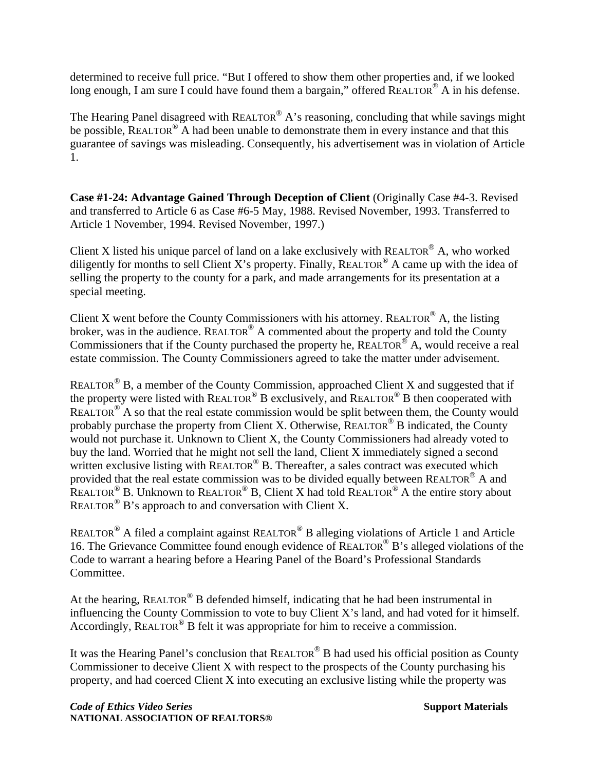determined to receive full price. "But I offered to show them other properties and, if we looked long enough, I am sure I could have found them a bargain," offered  $REALTOR^{\circledcirc}$  A in his defense.

The Hearing Panel disagreed with  $REALTOR^{\circledast}$  A's reasoning, concluding that while savings might be possible, REALTOR<sup>®</sup> A had been unable to demonstrate them in every instance and that this guarantee of savings was misleading. Consequently, his advertisement was in violation of Article 1.

**Case #1-24: Advantage Gained Through Deception of Client** (Originally Case #4-3. Revised and transferred to Article 6 as Case #6-5 May, 1988. Revised November, 1993. Transferred to Article 1 November, 1994. Revised November, 1997.)

Client X listed his unique parcel of land on a lake exclusively with REALTOR<sup>®</sup> A, who worked diligently for months to sell Client X's property. Finally, REALTOR<sup>®</sup> A came up with the idea of selling the property to the county for a park, and made arrangements for its presentation at a special meeting.

Client X went before the County Commissioners with his attorney. REALTOR® A, the listing broker, was in the audience. REALTOR<sup>®</sup> A commented about the property and told the County Commissioners that if the County purchased the property he,  $REALTOR^{\circledR}$  A, would receive a real estate commission. The County Commissioners agreed to take the matter under advisement.

REALTOR<sup>®</sup> B, a member of the County Commission, approached Client X and suggested that if the property were listed with REALTOR<sup>®</sup> B exclusively, and REALTOR<sup>®</sup> B then cooperated with REALTOR<sup>®</sup> A so that the real estate commission would be split between them, the County would probably purchase the property from Client X. Otherwise, REALTOR<sup>®</sup> B indicated, the County would not purchase it. Unknown to Client X, the County Commissioners had already voted to buy the land. Worried that he might not sell the land, Client X immediately signed a second written exclusive listing with  $REALTOR^{\circledR}$  B. Thereafter, a sales contract was executed which provided that the real estate commission was to be divided equally between REALTOR® A and REALTOR<sup>®</sup> B. Unknown to REALTOR<sup>®</sup> B, Client X had told REALTOR<sup>®</sup> A the entire story about REALTOR<sup>®</sup> B's approach to and conversation with Client X.

REALTOR® A filed a complaint against REALTOR® B alleging violations of Article 1 and Article 16. The Grievance Committee found enough evidence of REALTOR® B's alleged violations of the Code to warrant a hearing before a Hearing Panel of the Board's Professional Standards Committee.

At the hearing, REALTOR<sup>®</sup> B defended himself, indicating that he had been instrumental in influencing the County Commission to vote to buy Client X's land, and had voted for it himself. Accordingly, REALTOR® B felt it was appropriate for him to receive a commission.

It was the Hearing Panel's conclusion that  $REALTOR^@$  B had used his official position as County Commissioner to deceive Client X with respect to the prospects of the County purchasing his property, and had coerced Client X into executing an exclusive listing while the property was

**Code of Ethics Video Series** Support Materials **Support Materials NATIONAL ASSOCIATION OF REALTORS®**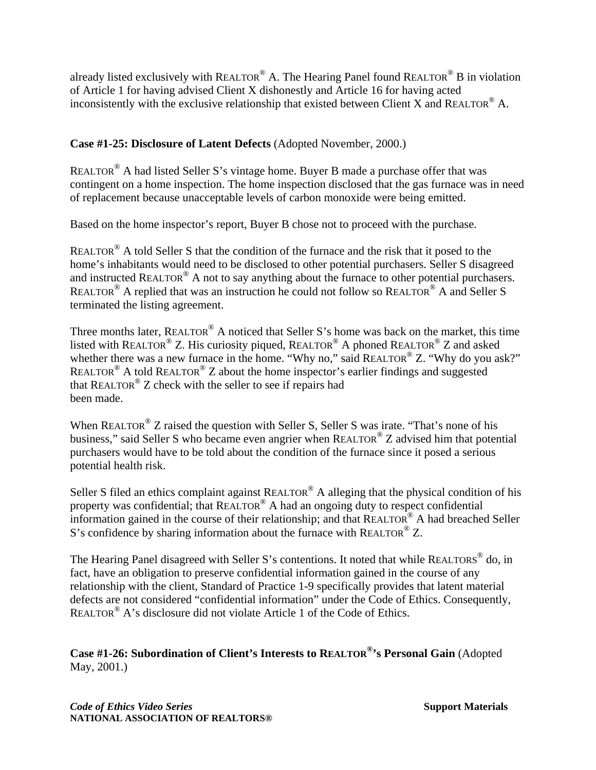already listed exclusively with REALTOR® A. The Hearing Panel found REALTOR® B in violation of Article 1 for having advised Client X dishonestly and Article 16 for having acted inconsistently with the exclusive relationship that existed between Client X and REALTOR<sup>®</sup> A.

## **Case #1-25: Disclosure of Latent Defects** (Adopted November, 2000.)

REALTOR® A had listed Seller S's vintage home. Buyer B made a purchase offer that was contingent on a home inspection. The home inspection disclosed that the gas furnace was in need of replacement because unacceptable levels of carbon monoxide were being emitted.

Based on the home inspector's report, Buyer B chose not to proceed with the purchase.

REALTOR<sup>®</sup> A told Seller S that the condition of the furnace and the risk that it posed to the home's inhabitants would need to be disclosed to other potential purchasers. Seller S disagreed and instructed REALTOR® A not to say anything about the furnace to other potential purchasers. REALTOR® A replied that was an instruction he could not follow so REALTOR® A and Seller S terminated the listing agreement.

Three months later, REALTOR<sup>®</sup> A noticed that Seller S's home was back on the market, this time listed with REALTOR<sup>®</sup> Z. His curiosity piqued, REALTOR<sup>®</sup> A phoned REALTOR<sup>®</sup> Z and asked whether there was a new furnace in the home. "Why no," said REALTOR® Z. "Why do you ask?" REALTOR<sup>®</sup> A told REALTOR<sup>®</sup> Z about the home inspector's earlier findings and suggested that REALTOR<sup>®</sup>  $Z$  check with the seller to see if repairs had been made.

When REALTOR<sup>®</sup> Z raised the question with Seller S, Seller S was irate. "That's none of his business," said Seller S who became even angrier when REALTOR® Z advised him that potential purchasers would have to be told about the condition of the furnace since it posed a serious potential health risk.

Seller S filed an ethics complaint against REALTOR<sup>®</sup> A alleging that the physical condition of his property was confidential; that REALTOR® A had an ongoing duty to respect confidential information gained in the course of their relationship; and that REALTOR® A had breached Seller S's confidence by sharing information about the furnace with REALTOR<sup>®</sup> Z.

The Hearing Panel disagreed with Seller S's contentions. It noted that while REALTORS<sup>®</sup> do, in fact, have an obligation to preserve confidential information gained in the course of any relationship with the client, Standard of Practice 1-9 specifically provides that latent material defects are not considered "confidential information" under the Code of Ethics. Consequently, REALTOR® A's disclosure did not violate Article 1 of the Code of Ethics.

**Case #1-26: Subordination of Client's Interests to REALTOR®'s Personal Gain** (Adopted May, 2001.)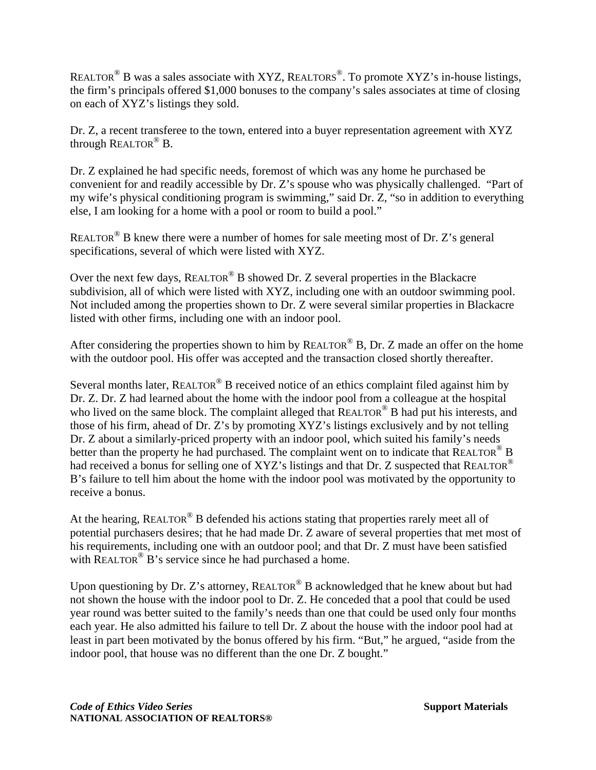REALTOR<sup>®</sup> B was a sales associate with XYZ, REALTORS<sup>®</sup>. To promote XYZ's in-house listings, the firm's principals offered \$1,000 bonuses to the company's sales associates at time of closing on each of XYZ's listings they sold.

Dr. Z, a recent transferee to the town, entered into a buyer representation agreement with XYZ through REALTOR® B.

Dr. Z explained he had specific needs, foremost of which was any home he purchased be convenient for and readily accessible by Dr. Z's spouse who was physically challenged. "Part of my wife's physical conditioning program is swimming," said Dr. Z, "so in addition to everything else, I am looking for a home with a pool or room to build a pool."

REALTOR<sup>®</sup> B knew there were a number of homes for sale meeting most of Dr. Z's general specifications, several of which were listed with XYZ.

Over the next few days, REALTOR<sup>®</sup> B showed Dr. Z several properties in the Blackacre subdivision, all of which were listed with XYZ, including one with an outdoor swimming pool. Not included among the properties shown to Dr. Z were several similar properties in Blackacre listed with other firms, including one with an indoor pool.

After considering the properties shown to him by REALTOR<sup>®</sup> B, Dr. Z made an offer on the home with the outdoor pool. His offer was accepted and the transaction closed shortly thereafter.

Several months later, REALTOR<sup>®</sup> B received notice of an ethics complaint filed against him by Dr. Z. Dr. Z had learned about the home with the indoor pool from a colleague at the hospital who lived on the same block. The complaint alleged that REALTOR<sup>®</sup> B had put his interests, and those of his firm, ahead of Dr. Z's by promoting XYZ's listings exclusively and by not telling Dr. Z about a similarly-priced property with an indoor pool, which suited his family's needs better than the property he had purchased. The complaint went on to indicate that REALTOR<sup>®</sup> B had received a bonus for selling one of XYZ's listings and that Dr. Z suspected that REALTOR® B's failure to tell him about the home with the indoor pool was motivated by the opportunity to receive a bonus.

At the hearing, REALTOR<sup>®</sup> B defended his actions stating that properties rarely meet all of potential purchasers desires; that he had made Dr. Z aware of several properties that met most of his requirements, including one with an outdoor pool; and that Dr. Z must have been satisfied with REALTOR<sup>®</sup> B's service since he had purchased a home.

Upon questioning by Dr. Z's attorney, REALTOR<sup>®</sup> B acknowledged that he knew about but had not shown the house with the indoor pool to Dr. Z. He conceded that a pool that could be used year round was better suited to the family's needs than one that could be used only four months each year. He also admitted his failure to tell Dr. Z about the house with the indoor pool had at least in part been motivated by the bonus offered by his firm. "But," he argued, "aside from the indoor pool, that house was no different than the one Dr. Z bought."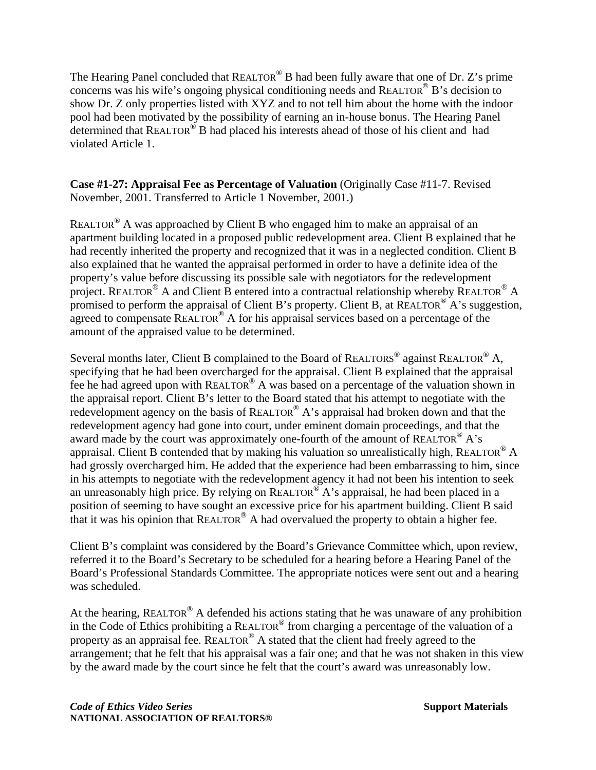The Hearing Panel concluded that REALTOR® B had been fully aware that one of Dr. Z's prime concerns was his wife's ongoing physical conditioning needs and REALTOR® B's decision to show Dr. Z only properties listed with XYZ and to not tell him about the home with the indoor pool had been motivated by the possibility of earning an in-house bonus. The Hearing Panel determined that REALTOR® B had placed his interests ahead of those of his client and had violated Article 1.

#### **Case #1-27: Appraisal Fee as Percentage of Valuation** (Originally Case #11-7. Revised November, 2001. Transferred to Article 1 November, 2001.)

REALTOR<sup>®</sup> A was approached by Client B who engaged him to make an appraisal of an apartment building located in a proposed public redevelopment area. Client B explained that he had recently inherited the property and recognized that it was in a neglected condition. Client B also explained that he wanted the appraisal performed in order to have a definite idea of the property's value before discussing its possible sale with negotiators for the redevelopment project. REALTOR<sup>®</sup> A and Client B entered into a contractual relationship whereby REALTOR<sup>®</sup> A promised to perform the appraisal of Client B's property. Client B, at REALTOR<sup>®</sup> A's suggestion, agreed to compensate REALTOR<sup>®</sup> A for his appraisal services based on a percentage of the amount of the appraised value to be determined.

Several months later, Client B complained to the Board of REALTORS<sup>®</sup> against REALTOR<sup>®</sup> A, specifying that he had been overcharged for the appraisal. Client B explained that the appraisal fee he had agreed upon with REALTOR® A was based on a percentage of the valuation shown in the appraisal report. Client B's letter to the Board stated that his attempt to negotiate with the redevelopment agency on the basis of REALTOR<sup>®</sup> A's appraisal had broken down and that the redevelopment agency had gone into court, under eminent domain proceedings, and that the award made by the court was approximately one-fourth of the amount of REALTOR<sup>®</sup> A's appraisal. Client B contended that by making his valuation so unrealistically high, REALTOR<sup>®</sup> A had grossly overcharged him. He added that the experience had been embarrassing to him, since in his attempts to negotiate with the redevelopment agency it had not been his intention to seek an unreasonably high price. By relying on  $REALTOR^{\circledast}$  A's appraisal, he had been placed in a position of seeming to have sought an excessive price for his apartment building. Client B said that it was his opinion that  $REALTOR^{\circledR}$  A had overvalued the property to obtain a higher fee.

Client B's complaint was considered by the Board's Grievance Committee which, upon review, referred it to the Board's Secretary to be scheduled for a hearing before a Hearing Panel of the Board's Professional Standards Committee. The appropriate notices were sent out and a hearing was scheduled.

At the hearing, REALTOR<sup>®</sup> A defended his actions stating that he was unaware of any prohibition in the Code of Ethics prohibiting a REALTOR® from charging a percentage of the valuation of a property as an appraisal fee. REALTOR<sup>®</sup> A stated that the client had freely agreed to the arrangement; that he felt that his appraisal was a fair one; and that he was not shaken in this view by the award made by the court since he felt that the court's award was unreasonably low.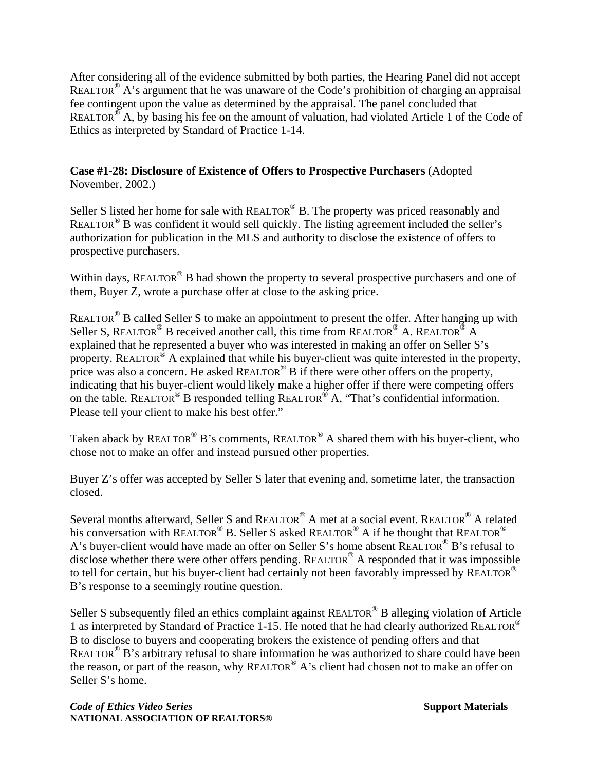After considering all of the evidence submitted by both parties, the Hearing Panel did not accept REALTOR<sup>®</sup> A's argument that he was unaware of the Code's prohibition of charging an appraisal fee contingent upon the value as determined by the appraisal. The panel concluded that REALTOR<sup>®</sup> A, by basing his fee on the amount of valuation, had violated Article 1 of the Code of Ethics as interpreted by Standard of Practice 1-14.

#### **Case #1-28: Disclosure of Existence of Offers to Prospective Purchasers** (Adopted November, 2002.)

Seller S listed her home for sale with REALTOR<sup>®</sup> B. The property was priced reasonably and REALTOR® B was confident it would sell quickly. The listing agreement included the seller's authorization for publication in the MLS and authority to disclose the existence of offers to prospective purchasers.

Within days, REALTOR<sup>®</sup> B had shown the property to several prospective purchasers and one of them, Buyer Z, wrote a purchase offer at close to the asking price.

REALTOR<sup>®</sup> B called Seller S to make an appointment to present the offer. After hanging up with Seller S, REALTOR<sup>®</sup> B received another call, this time from REALTOR<sup>®</sup> A. REALTOR<sup>®</sup> A explained that he represented a buyer who was interested in making an offer on Seller S's property. REALTOR<sup>®</sup> A explained that while his buyer-client was quite interested in the property, price was also a concern. He asked REALTOR<sup>®</sup> B if there were other offers on the property, indicating that his buyer-client would likely make a higher offer if there were competing offers on the table. REALTOR<sup>®</sup> B responded telling REALTOR<sup>®</sup> A, "That's confidential information. Please tell your client to make his best offer."

Taken aback by REALTOR<sup>®</sup> B's comments, REALTOR<sup>®</sup> A shared them with his buyer-client, who chose not to make an offer and instead pursued other properties.

Buyer Z's offer was accepted by Seller S later that evening and, sometime later, the transaction closed.

Several months afterward, Seller S and REALTOR® A met at a social event. REALTOR® A related his conversation with REALTOR<sup>®</sup> B. Seller S asked REALTOR<sup>®</sup> A if he thought that REALTOR<sup>®</sup> A's buyer-client would have made an offer on Seller S's home absent REALTOR® B's refusal to disclose whether there were other offers pending. REALTOR® A responded that it was impossible to tell for certain, but his buyer-client had certainly not been favorably impressed by REALTOR<sup>®</sup> B's response to a seemingly routine question.

Seller S subsequently filed an ethics complaint against REALTOR<sup>®</sup> B alleging violation of Article 1 as interpreted by Standard of Practice 1-15. He noted that he had clearly authorized REALTOR® B to disclose to buyers and cooperating brokers the existence of pending offers and that REALTOR<sup>®</sup> B's arbitrary refusal to share information he was authorized to share could have been the reason, or part of the reason, why REALTOR® A's client had chosen not to make an offer on Seller S's home.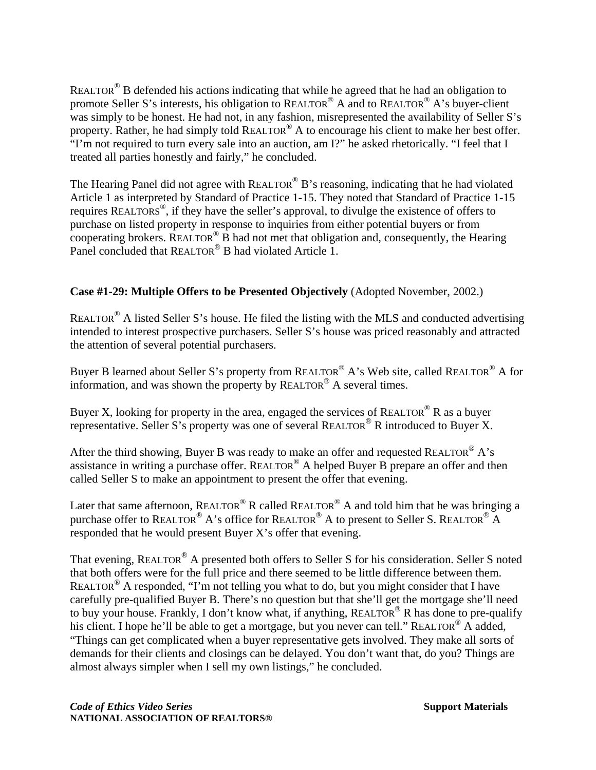REALTOR® B defended his actions indicating that while he agreed that he had an obligation to promote Seller S's interests, his obligation to REALTOR® A and to REALTOR® A's buyer-client was simply to be honest. He had not, in any fashion, misrepresented the availability of Seller S's property. Rather, he had simply told REALTOR® A to encourage his client to make her best offer. "I'm not required to turn every sale into an auction, am I?" he asked rhetorically. "I feel that I treated all parties honestly and fairly," he concluded.

The Hearing Panel did not agree with REALTOR<sup>®</sup> B's reasoning, indicating that he had violated Article 1 as interpreted by Standard of Practice 1-15. They noted that Standard of Practice 1-15 requires REALTORS®, if they have the seller's approval, to divulge the existence of offers to purchase on listed property in response to inquiries from either potential buyers or from cooperating brokers. REALTOR<sup>®</sup> B had not met that obligation and, consequently, the Hearing Panel concluded that REALTOR<sup>®</sup> B had violated Article 1.

### **Case #1-29: Multiple Offers to be Presented Objectively** (Adopted November, 2002.)

REALTOR® A listed Seller S's house. He filed the listing with the MLS and conducted advertising intended to interest prospective purchasers. Seller S's house was priced reasonably and attracted the attention of several potential purchasers.

Buyer B learned about Seller S's property from REALTOR® A's Web site, called REALTOR® A for information, and was shown the property by REALTOR® A several times.

Buyer X, looking for property in the area, engaged the services of REALTOR<sup>®</sup> R as a buyer representative. Seller S's property was one of several REALTOR<sup>®</sup> R introduced to Buyer X.

After the third showing, Buyer B was ready to make an offer and requested REALTOR® A's assistance in writing a purchase offer. REALTOR® A helped Buyer B prepare an offer and then called Seller S to make an appointment to present the offer that evening.

Later that same afternoon, REALTOR<sup>®</sup> R called REALTOR<sup>®</sup> A and told him that he was bringing a purchase offer to REALTOR® A's office for REALTOR® A to present to Seller S. REALTOR® A responded that he would present Buyer X's offer that evening.

That evening, REALTOR® A presented both offers to Seller S for his consideration. Seller S noted that both offers were for the full price and there seemed to be little difference between them. REALTOR<sup>®</sup> A responded, "I'm not telling you what to do, but you might consider that I have carefully pre-qualified Buyer B. There's no question but that she'll get the mortgage she'll need to buy your house. Frankly, I don't know what, if anything, REALTOR<sup>®</sup> R has done to pre-qualify his client. I hope he'll be able to get a mortgage, but you never can tell." REALTOR<sup>®</sup> A added, "Things can get complicated when a buyer representative gets involved. They make all sorts of demands for their clients and closings can be delayed. You don't want that, do you? Things are almost always simpler when I sell my own listings," he concluded.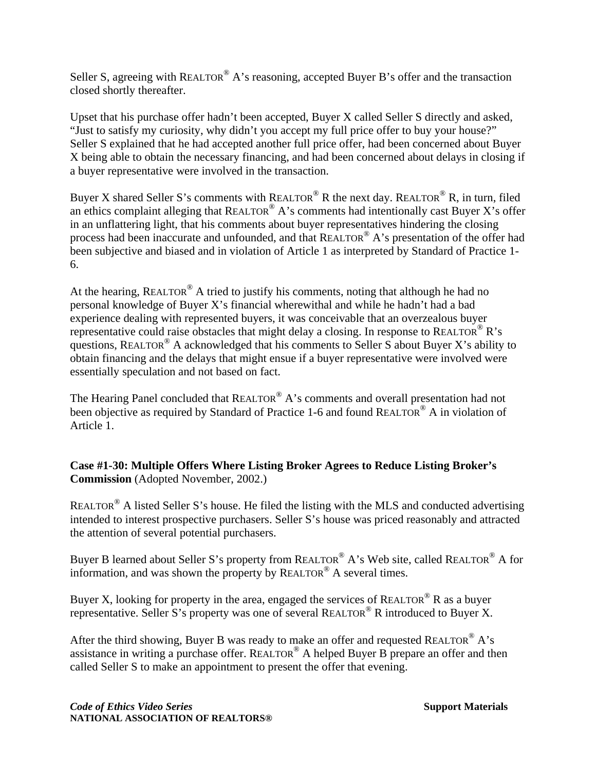Seller S, agreeing with REALTOR<sup>®</sup> A's reasoning, accepted Buyer B's offer and the transaction closed shortly thereafter.

Upset that his purchase offer hadn't been accepted, Buyer X called Seller S directly and asked, "Just to satisfy my curiosity, why didn't you accept my full price offer to buy your house?" Seller S explained that he had accepted another full price offer, had been concerned about Buyer X being able to obtain the necessary financing, and had been concerned about delays in closing if a buyer representative were involved in the transaction.

Buyer X shared Seller S's comments with REALTOR® R the next day. REALTOR® R, in turn, filed an ethics complaint alleging that REALTOR<sup>®</sup> A's comments had intentionally cast Buyer X's offer in an unflattering light, that his comments about buyer representatives hindering the closing process had been inaccurate and unfounded, and that REALTOR<sup>®</sup> A's presentation of the offer had been subjective and biased and in violation of Article 1 as interpreted by Standard of Practice 1- 6.

At the hearing, REALTOR<sup>®</sup> A tried to justify his comments, noting that although he had no personal knowledge of Buyer X's financial wherewithal and while he hadn't had a bad experience dealing with represented buyers, it was conceivable that an overzealous buyer representative could raise obstacles that might delay a closing. In response to REALTOR<sup>®</sup> R's questions, REALTOR<sup>®</sup> A acknowledged that his comments to Seller S about Buyer X's ability to obtain financing and the delays that might ensue if a buyer representative were involved were essentially speculation and not based on fact.

The Hearing Panel concluded that REALTOR<sup>®</sup> A's comments and overall presentation had not been objective as required by Standard of Practice 1-6 and found REALTOR<sup>®</sup> A in violation of Article 1.

#### **Case #1-30: Multiple Offers Where Listing Broker Agrees to Reduce Listing Broker's Commission** (Adopted November, 2002.)

REALTOR® A listed Seller S's house. He filed the listing with the MLS and conducted advertising intended to interest prospective purchasers. Seller S's house was priced reasonably and attracted the attention of several potential purchasers.

Buyer B learned about Seller S's property from REALTOR® A's Web site, called REALTOR® A for information, and was shown the property by REALTOR® A several times.

Buyer X, looking for property in the area, engaged the services of REALTOR<sup>®</sup> R as a buyer representative. Seller S's property was one of several REALTOR<sup>®</sup> R introduced to Buyer X.

After the third showing, Buyer B was ready to make an offer and requested REALTOR® A's assistance in writing a purchase offer. REALTOR® A helped Buyer B prepare an offer and then called Seller S to make an appointment to present the offer that evening.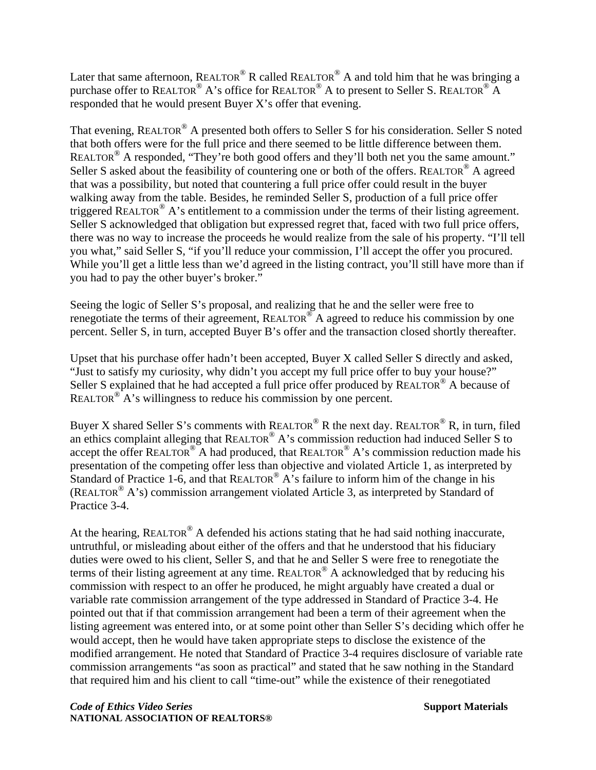Later that same afternoon, REALTOR® R called REALTOR® A and told him that he was bringing a purchase offer to REALTOR® A's office for REALTOR® A to present to Seller S. REALTOR® A responded that he would present Buyer X's offer that evening.

That evening, REALTOR® A presented both offers to Seller S for his consideration. Seller S noted that both offers were for the full price and there seemed to be little difference between them. REALTOR<sup>®</sup> A responded, "They're both good offers and they'll both net you the same amount." Seller S asked about the feasibility of countering one or both of the offers. REALTOR<sup>®</sup> A agreed that was a possibility, but noted that countering a full price offer could result in the buyer walking away from the table. Besides, he reminded Seller S, production of a full price offer triggered REALTOR® A's entitlement to a commission under the terms of their listing agreement. Seller S acknowledged that obligation but expressed regret that, faced with two full price offers, there was no way to increase the proceeds he would realize from the sale of his property. "I'll tell you what," said Seller S, "if you'll reduce your commission, I'll accept the offer you procured. While you'll get a little less than we'd agreed in the listing contract, you'll still have more than if you had to pay the other buyer's broker."

Seeing the logic of Seller S's proposal, and realizing that he and the seller were free to renegotiate the terms of their agreement, REALTOR<sup>®</sup> A agreed to reduce his commission by one percent. Seller S, in turn, accepted Buyer B's offer and the transaction closed shortly thereafter.

Upset that his purchase offer hadn't been accepted, Buyer X called Seller S directly and asked, "Just to satisfy my curiosity, why didn't you accept my full price offer to buy your house?" Seller S explained that he had accepted a full price offer produced by REALTOR<sup>®</sup> A because of REALTOR<sup>®</sup> A's willingness to reduce his commission by one percent.

Buyer X shared Seller S's comments with REALTOR® R the next day. REALTOR® R, in turn, filed an ethics complaint alleging that REALTOR® A's commission reduction had induced Seller S to accept the offer REALTOR<sup>®</sup> A had produced, that REALTOR<sup>®</sup> A's commission reduction made his presentation of the competing offer less than objective and violated Article 1, as interpreted by Standard of Practice 1-6, and that REALTOR<sup>®</sup> A's failure to inform him of the change in his (REALTOR<sup>®</sup> A's) commission arrangement violated Article 3, as interpreted by Standard of Practice 3-4.

At the hearing, REALTOR<sup>®</sup> A defended his actions stating that he had said nothing inaccurate, untruthful, or misleading about either of the offers and that he understood that his fiduciary duties were owed to his client, Seller S, and that he and Seller S were free to renegotiate the terms of their listing agreement at any time. REALTOR® A acknowledged that by reducing his commission with respect to an offer he produced, he might arguably have created a dual or variable rate commission arrangement of the type addressed in Standard of Practice 3-4. He pointed out that if that commission arrangement had been a term of their agreement when the listing agreement was entered into, or at some point other than Seller S's deciding which offer he would accept, then he would have taken appropriate steps to disclose the existence of the modified arrangement. He noted that Standard of Practice 3-4 requires disclosure of variable rate commission arrangements "as soon as practical" and stated that he saw nothing in the Standard that required him and his client to call "time-out" while the existence of their renegotiated

**Code of Ethics Video Series** Support Materials **Support Materials NATIONAL ASSOCIATION OF REALTORS®**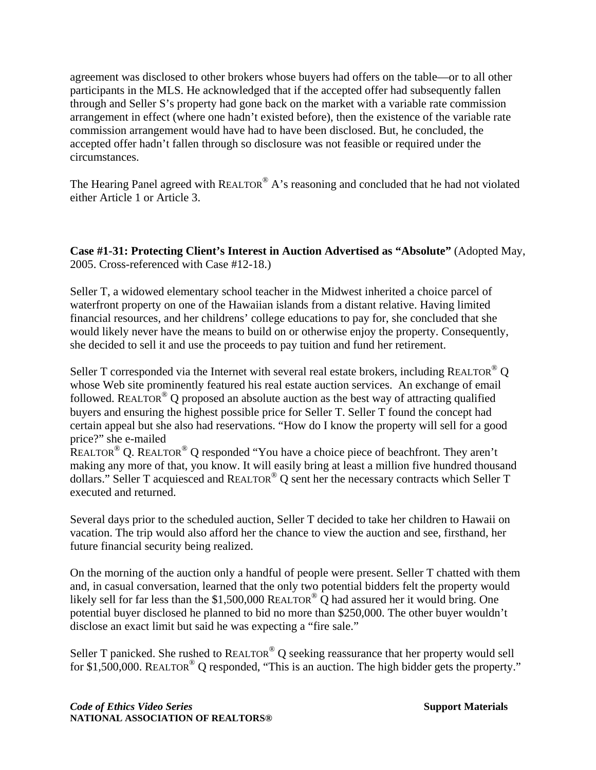agreement was disclosed to other brokers whose buyers had offers on the table—or to all other participants in the MLS. He acknowledged that if the accepted offer had subsequently fallen through and Seller S's property had gone back on the market with a variable rate commission arrangement in effect (where one hadn't existed before), then the existence of the variable rate commission arrangement would have had to have been disclosed. But, he concluded, the accepted offer hadn't fallen through so disclosure was not feasible or required under the circumstances.

The Hearing Panel agreed with REALTOR<sup>®</sup> A's reasoning and concluded that he had not violated either Article 1 or Article 3.

**Case #1-31: Protecting Client's Interest in Auction Advertised as "Absolute"** (Adopted May, 2005. Cross-referenced with Case #12-18.)

Seller T, a widowed elementary school teacher in the Midwest inherited a choice parcel of waterfront property on one of the Hawaiian islands from a distant relative. Having limited financial resources, and her childrens' college educations to pay for, she concluded that she would likely never have the means to build on or otherwise enjoy the property. Consequently, she decided to sell it and use the proceeds to pay tuition and fund her retirement.

Seller T corresponded via the Internet with several real estate brokers, including REALTOR<sup>®</sup> Q whose Web site prominently featured his real estate auction services. An exchange of email followed. REALTOR<sup>®</sup> Q proposed an absolute auction as the best way of attracting qualified buyers and ensuring the highest possible price for Seller T. Seller T found the concept had certain appeal but she also had reservations. "How do I know the property will sell for a good price?" she e-mailed

REALTOR® Q. REALTOR® Q responded "You have a choice piece of beachfront. They aren't making any more of that, you know. It will easily bring at least a million five hundred thousand dollars." Seller T acquiesced and REALTOR® Q sent her the necessary contracts which Seller T executed and returned.

Several days prior to the scheduled auction, Seller T decided to take her children to Hawaii on vacation. The trip would also afford her the chance to view the auction and see, firsthand, her future financial security being realized.

On the morning of the auction only a handful of people were present. Seller T chatted with them and, in casual conversation, learned that the only two potential bidders felt the property would likely sell for far less than the \$1,500,000 REALTOR<sup>®</sup> Q had assured her it would bring. One potential buyer disclosed he planned to bid no more than \$250,000. The other buyer wouldn't disclose an exact limit but said he was expecting a "fire sale."

Seller T panicked. She rushed to  $REALTOR^{\circledR}$  O seeking reassurance that her property would sell for \$1,500,000. REALTOR<sup>®</sup> Q responded, "This is an auction. The high bidder gets the property."